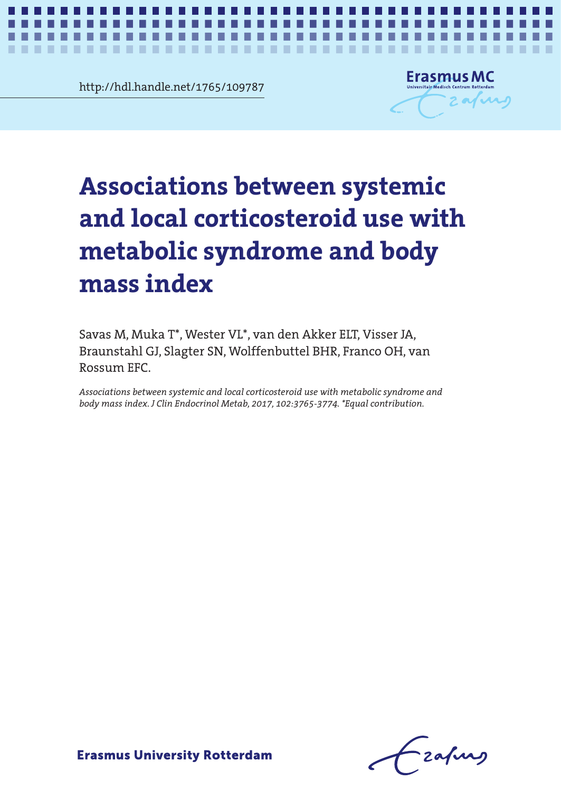http://hdl.handle.net/1765/109787

**The Co** 

. . .

. . . . . . .

. .



*Corticosteroid use and metabolic syndrome* **1**

# ssociations between systemic<br>nd local corticosteroid use with<br>astabolic syndrome and body and local corticosteroid use with **and local corticosteroid use with**  metabolic syndrome and body **metabolic syndrome and body Associations between systemic mass index**

×

Rossum EFC. Savas M, Muka T\*, Wester VL\*, van den Akker ELT, Visser JA, Braunstahl GJ, Slagter SN, Wolffenbuttel BHR, Franco OH, van

Rossum EFC. *Associations between systemic and local corticosteroid use with metabolic syndrome and body mass index. J Clin Endocrinol Metab, 2017, 102:3765-3774. \*Equal contribution.*

-zafurg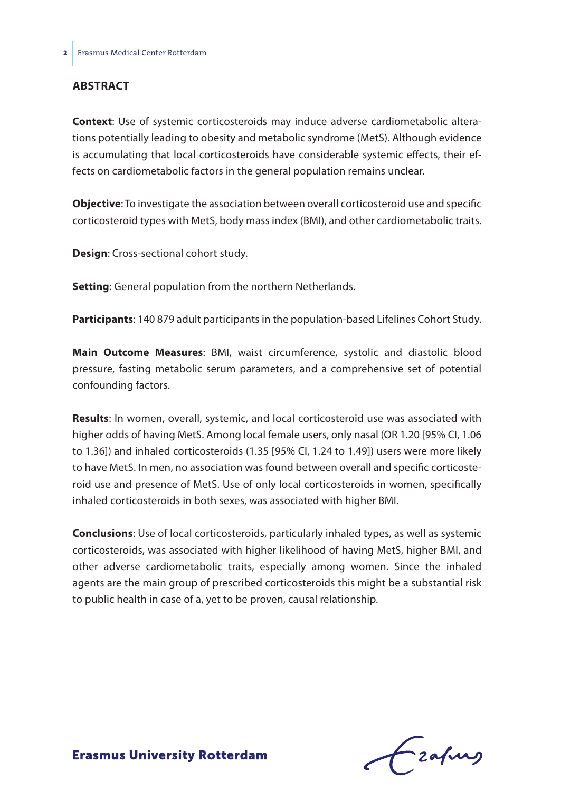#### **Abstract**

**Context**: Use of systemic corticosteroids may induce adverse cardiometabolic alterations potentially leading to obesity and metabolic syndrome (MetS). Although evidence is accumulating that local corticosteroids have considerable systemic effects, their effects on cardiometabolic factors in the general population remains unclear.

**Objective**: To investigate the association between overall corticosteroid use and specific corticosteroid types with MetS, body mass index (BMI), and other cardiometabolic traits.

**Design**: Cross-sectional cohort study.

**Setting**: General population from the northern Netherlands.

**Participants**: 140 879 adult participants in the population-based Lifelines Cohort Study.

**Main Outcome Measures**: BMI, waist circumference, systolic and diastolic blood pressure, fasting metabolic serum parameters, and a comprehensive set of potential confounding factors.

**Results**: In women, overall, systemic, and local corticosteroid use was associated with higher odds of having MetS. Among local female users, only nasal (OR 1.20 [95% CI, 1.06 to 1.36]) and inhaled corticosteroids (1.35 [95% CI, 1.24 to 1.49]) users were more likely to have MetS. In men, no association was found between overall and specific corticosteroid use and presence of MetS. Use of only local corticosteroids in women, specifically inhaled corticosteroids in both sexes, was associated with higher BMI.

**Conclusions**: Use of local corticosteroids, particularly inhaled types, as well as systemic corticosteroids, was associated with higher likelihood of having MetS, higher BMI, and other adverse cardiometabolic traits, especially among women. Since the inhaled agents are the main group of prescribed corticosteroids this might be a substantial risk to public health in case of a, yet to be proven, causal relationship.

frafing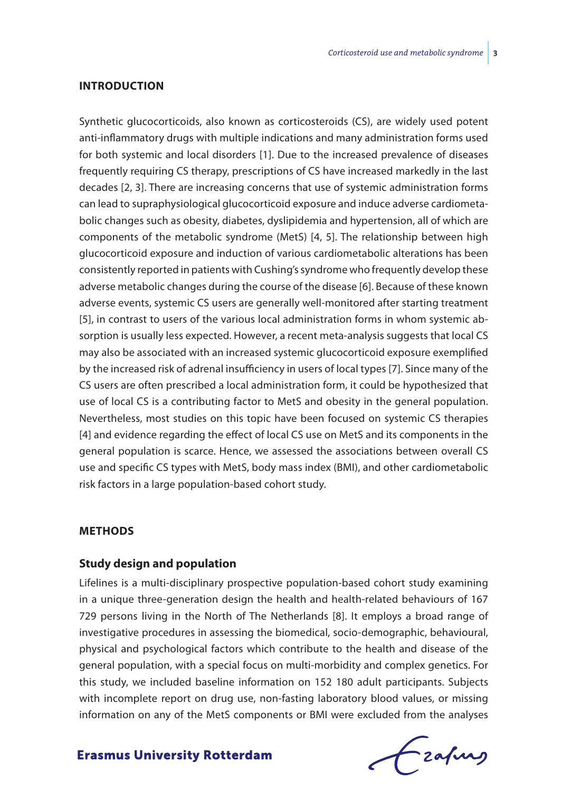#### **Introduction**

Synthetic glucocorticoids, also known as corticosteroids (CS), are widely used potent anti-inflammatory drugs with multiple indications and many administration forms used for both systemic and local disorders [1]. Due to the increased prevalence of diseases frequently requiring CS therapy, prescriptions of CS have increased markedly in the last decades [2, 3]. There are increasing concerns that use of systemic administration forms can lead to supraphysiological glucocorticoid exposure and induce adverse cardiometabolic changes such as obesity, diabetes, dyslipidemia and hypertension, all of which are components of the metabolic syndrome (MetS) [4, 5]. The relationship between high glucocorticoid exposure and induction of various cardiometabolic alterations has been consistently reported in patients with Cushing's syndrome who frequently develop these adverse metabolic changes during the course of the disease [6]. Because of these known adverse events, systemic CS users are generally well-monitored after starting treatment [5], in contrast to users of the various local administration forms in whom systemic absorption is usually less expected. However, a recent meta-analysis suggests that local CS may also be associated with an increased systemic glucocorticoid exposure exemplified by the increased risk of adrenal insufficiency in users of local types [7]. Since many of the CS users are often prescribed a local administration form, it could be hypothesized that use of local CS is a contributing factor to MetS and obesity in the general population. Nevertheless, most studies on this topic have been focused on systemic CS therapies [4] and evidence regarding the effect of local CS use on MetS and its components in the general population is scarce. Hence, we assessed the associations between overall CS use and specific CS types with MetS, body mass index (BMI), and other cardiometabolic risk factors in a large population-based cohort study.

#### **Methods**

#### **Study design and population**

Lifelines is a multi-disciplinary prospective population-based cohort study examining in a unique three-generation design the health and health-related behaviours of 167 729 persons living in the North of The Netherlands [8]. It employs a broad range of investigative procedures in assessing the biomedical, socio-demographic, behavioural, physical and psychological factors which contribute to the health and disease of the general population, with a special focus on multi-morbidity and complex genetics. For this study, we included baseline information on 152 180 adult participants. Subjects with incomplete report on drug use, non-fasting laboratory blood values, or missing information on any of the MetS components or BMI were excluded from the analyses

Frahing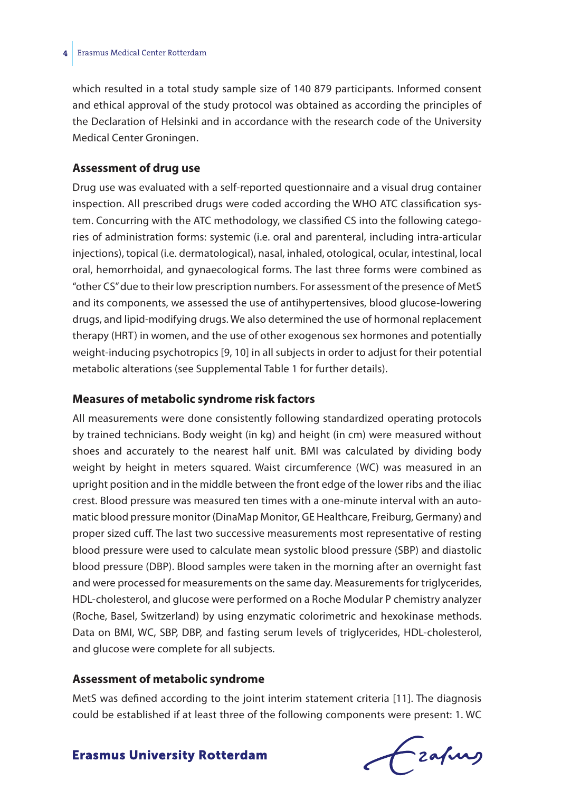which resulted in a total study sample size of 140 879 participants. Informed consent and ethical approval of the study protocol was obtained as according the principles of the Declaration of Helsinki and in accordance with the research code of the University Medical Center Groningen.

#### **Assessment of drug use**

Drug use was evaluated with a self-reported questionnaire and a visual drug container inspection. All prescribed drugs were coded according the WHO ATC classification system. Concurring with the ATC methodology, we classified CS into the following categories of administration forms: systemic (i.e. oral and parenteral, including intra-articular injections), topical (i.e. dermatological), nasal, inhaled, otological, ocular, intestinal, local oral, hemorrhoidal, and gynaecological forms. The last three forms were combined as "other CS" due to their low prescription numbers. For assessment of the presence of MetS and its components, we assessed the use of antihypertensives, blood glucose-lowering drugs, and lipid-modifying drugs. We also determined the use of hormonal replacement therapy (HRT) in women, and the use of other exogenous sex hormones and potentially weight-inducing psychotropics [9, 10] in all subjects in order to adjust for their potential metabolic alterations (see Supplemental Table 1 for further details).

#### **Measures of metabolic syndrome risk factors**

All measurements were done consistently following standardized operating protocols by trained technicians. Body weight (in kg) and height (in cm) were measured without shoes and accurately to the nearest half unit. BMI was calculated by dividing body weight by height in meters squared. Waist circumference (WC) was measured in an upright position and in the middle between the front edge of the lower ribs and the iliac crest. Blood pressure was measured ten times with a one-minute interval with an automatic blood pressure monitor (DinaMap Monitor, GE Healthcare, Freiburg, Germany) and proper sized cuff. The last two successive measurements most representative of resting blood pressure were used to calculate mean systolic blood pressure (SBP) and diastolic blood pressure (DBP). Blood samples were taken in the morning after an overnight fast and were processed for measurements on the same day. Measurements for triglycerides, HDL-cholesterol, and glucose were performed on a Roche Modular P chemistry analyzer (Roche, Basel, Switzerland) by using enzymatic colorimetric and hexokinase methods. Data on BMI, WC, SBP, DBP, and fasting serum levels of triglycerides, HDL-cholesterol, and glucose were complete for all subjects.

#### **Assessment of metabolic syndrome**

MetS was defined according to the joint interim statement criteria [11]. The diagnosis could be established if at least three of the following components were present: 1. WC

Frahing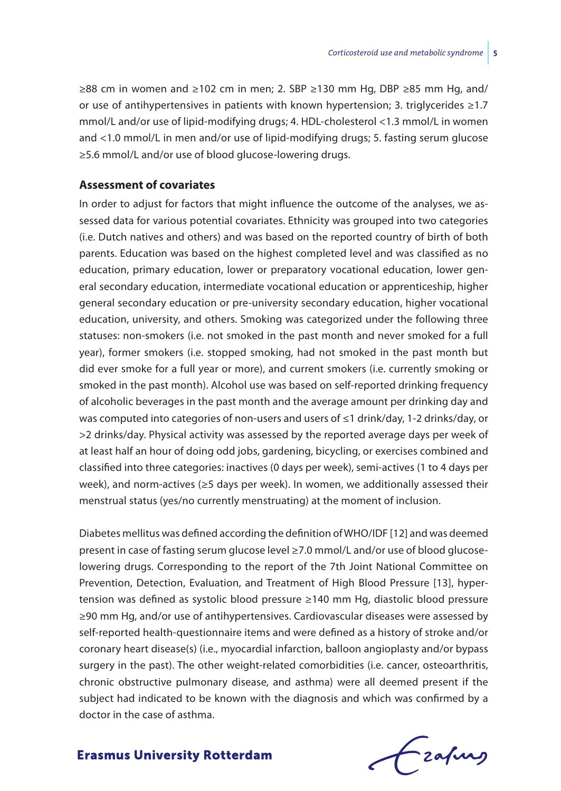≥88 cm in women and ≥102 cm in men; 2. SBP ≥130 mm Hg, DBP ≥85 mm Hg, and/ or use of antihypertensives in patients with known hypertension; 3. triglycerides ≥1.7 mmol/L and/or use of lipid-modifying drugs; 4. HDL-cholesterol <1.3 mmol/L in women and <1.0 mmol/L in men and/or use of lipid-modifying drugs; 5. fasting serum glucose ≥5.6 mmol/L and/or use of blood glucose-lowering drugs.

### **Assessment of covariates**

In order to adjust for factors that might influence the outcome of the analyses, we assessed data for various potential covariates. Ethnicity was grouped into two categories (i.e. Dutch natives and others) and was based on the reported country of birth of both parents. Education was based on the highest completed level and was classified as no education, primary education, lower or preparatory vocational education, lower general secondary education, intermediate vocational education or apprenticeship, higher general secondary education or pre-university secondary education, higher vocational education, university, and others. Smoking was categorized under the following three statuses: non-smokers (i.e. not smoked in the past month and never smoked for a full year), former smokers (i.e. stopped smoking, had not smoked in the past month but did ever smoke for a full year or more), and current smokers (i.e. currently smoking or smoked in the past month). Alcohol use was based on self-reported drinking frequency of alcoholic beverages in the past month and the average amount per drinking day and was computed into categories of non-users and users of ≤1 drink/day, 1-2 drinks/day, or >2 drinks/day. Physical activity was assessed by the reported average days per week of at least half an hour of doing odd jobs, gardening, bicycling, or exercises combined and classified into three categories: inactives (0 days per week), semi-actives (1 to 4 days per week), and norm-actives (≥5 days per week). In women, we additionally assessed their menstrual status (yes/no currently menstruating) at the moment of inclusion.

Diabetes mellitus was defined according the definition of WHO/IDF [12] and was deemed present in case of fasting serum glucose level ≥7.0 mmol/L and/or use of blood glucoselowering drugs. Corresponding to the report of the 7th Joint National Committee on Prevention, Detection, Evaluation, and Treatment of High Blood Pressure [13], hypertension was defined as systolic blood pressure ≥140 mm Hg, diastolic blood pressure ≥90 mm Hg, and/or use of antihypertensives. Cardiovascular diseases were assessed by self-reported health-questionnaire items and were defined as a history of stroke and/or coronary heart disease(s) (i.e., myocardial infarction, balloon angioplasty and/or bypass surgery in the past). The other weight-related comorbidities (i.e. cancer, osteoarthritis, chronic obstructive pulmonary disease, and asthma) were all deemed present if the subject had indicated to be known with the diagnosis and which was confirmed by a doctor in the case of asthma.

Czafing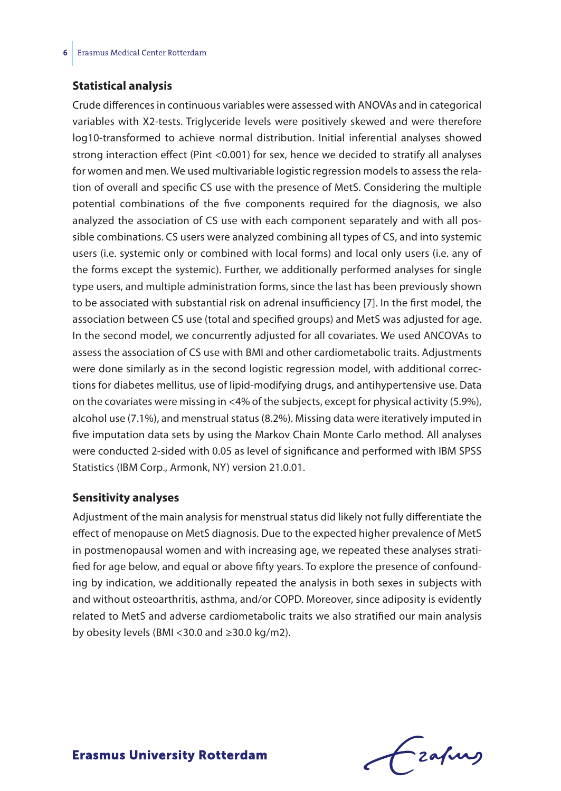#### **Statistical analysis**

Crude differences in continuous variables were assessed with ANOVAs and in categorical variables with X2-tests. Triglyceride levels were positively skewed and were therefore log10-transformed to achieve normal distribution. Initial inferential analyses showed strong interaction effect (Pint <0.001) for sex, hence we decided to stratify all analyses for women and men. We used multivariable logistic regression models to assess the relation of overall and specific CS use with the presence of MetS. Considering the multiple potential combinations of the five components required for the diagnosis, we also analyzed the association of CS use with each component separately and with all possible combinations. CS users were analyzed combining all types of CS, and into systemic users (i.e. systemic only or combined with local forms) and local only users (i.e. any of the forms except the systemic). Further, we additionally performed analyses for single type users, and multiple administration forms, since the last has been previously shown to be associated with substantial risk on adrenal insufficiency [7]. In the first model, the association between CS use (total and specified groups) and MetS was adjusted for age. In the second model, we concurrently adjusted for all covariates. We used ANCOVAs to assess the association of CS use with BMI and other cardiometabolic traits. Adjustments were done similarly as in the second logistic regression model, with additional corrections for diabetes mellitus, use of lipid-modifying drugs, and antihypertensive use. Data on the covariates were missing in <4% of the subjects, except for physical activity (5.9%), alcohol use (7.1%), and menstrual status (8.2%). Missing data were iteratively imputed in five imputation data sets by using the Markov Chain Monte Carlo method. All analyses were conducted 2-sided with 0.05 as level of significance and performed with IBM SPSS Statistics (IBM Corp., Armonk, NY) version 21.0.01.

#### **Sensitivity analyses**

Adjustment of the main analysis for menstrual status did likely not fully differentiate the effect of menopause on MetS diagnosis. Due to the expected higher prevalence of MetS in postmenopausal women and with increasing age, we repeated these analyses stratified for age below, and equal or above fifty years. To explore the presence of confounding by indication, we additionally repeated the analysis in both sexes in subjects with and without osteoarthritis, asthma, and/or COPD. Moreover, since adiposity is evidently related to MetS and adverse cardiometabolic traits we also stratified our main analysis by obesity levels (BMI <30.0 and  $\geq$ 30.0 kg/m2).

Frafing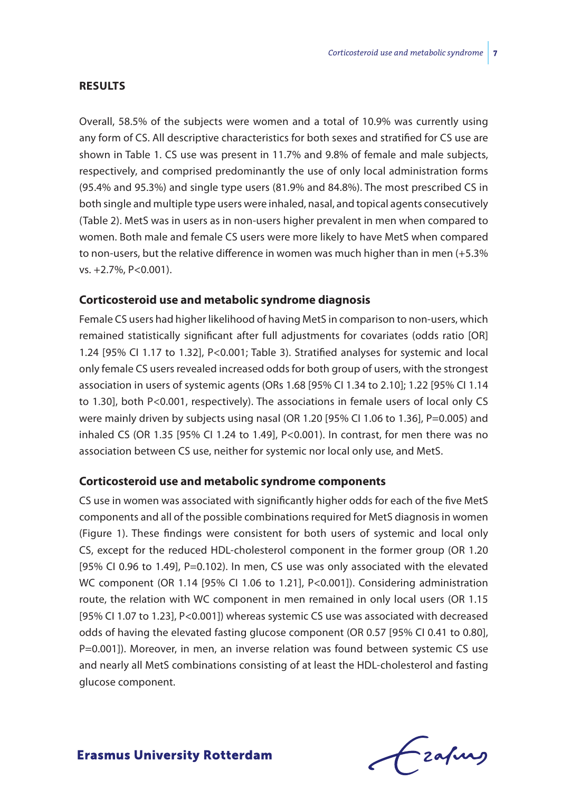#### **Results**

Overall, 58.5% of the subjects were women and a total of 10.9% was currently using any form of CS. All descriptive characteristics for both sexes and stratified for CS use are shown in Table 1. CS use was present in 11.7% and 9.8% of female and male subjects, respectively, and comprised predominantly the use of only local administration forms (95.4% and 95.3%) and single type users (81.9% and 84.8%). The most prescribed CS in both single and multiple type users were inhaled, nasal, and topical agents consecutively (Table 2). MetS was in users as in non-users higher prevalent in men when compared to women. Both male and female CS users were more likely to have MetS when compared to non-users, but the relative difference in women was much higher than in men (+5.3% vs. +2.7%, P<0.001).

#### **Corticosteroid use and metabolic syndrome diagnosis**

Female CS users had higher likelihood of having MetS in comparison to non-users, which remained statistically significant after full adjustments for covariates (odds ratio [OR] 1.24 [95% CI 1.17 to 1.32], P<0.001; Table 3). Stratified analyses for systemic and local only female CS users revealed increased odds for both group of users, with the strongest association in users of systemic agents (ORs 1.68 [95% CI 1.34 to 2.10]; 1.22 [95% CI 1.14 to 1.30], both P<0.001, respectively). The associations in female users of local only CS were mainly driven by subjects using nasal (OR 1.20 [95% CI 1.06 to 1.36], P=0.005) and inhaled CS (OR 1.35 [95% CI 1.24 to 1.49], P<0.001). In contrast, for men there was no association between CS use, neither for systemic nor local only use, and MetS.

#### **Corticosteroid use and metabolic syndrome components**

CS use in women was associated with significantly higher odds for each of the five MetS components and all of the possible combinations required for MetS diagnosis in women (Figure 1). These findings were consistent for both users of systemic and local only CS, except for the reduced HDL-cholesterol component in the former group (OR 1.20 [95% CI 0.96 to 1.49], P=0.102). In men, CS use was only associated with the elevated WC component (OR 1.14 [95% CI 1.06 to 1.21], P<0.001]). Considering administration route, the relation with WC component in men remained in only local users (OR 1.15 [95% CI 1.07 to 1.23], P<0.001]) whereas systemic CS use was associated with decreased odds of having the elevated fasting glucose component (OR 0.57 [95% CI 0.41 to 0.80], P=0.001]). Moreover, in men, an inverse relation was found between systemic CS use and nearly all MetS combinations consisting of at least the HDL-cholesterol and fasting glucose component.

frafing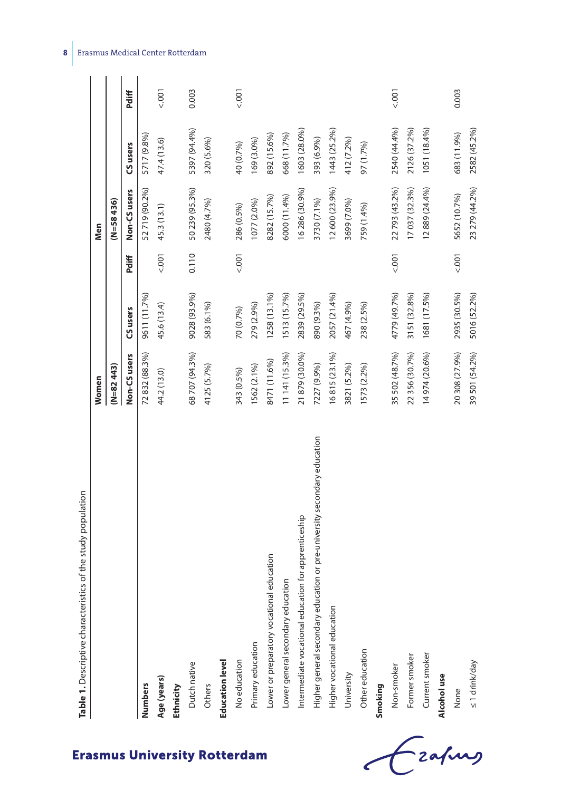| Table 1. Descriptive characteristics of the study population             |                |              |         |                |              |       |
|--------------------------------------------------------------------------|----------------|--------------|---------|----------------|--------------|-------|
|                                                                          | Women          |              |         | Men            |              |       |
|                                                                          | (N=82443)      |              |         | $(N=58436)$    |              |       |
|                                                                          | Non-CS users   | CS users     | Pdiff   | Non-CS users   | CS users     | Pdiff |
| Numbers                                                                  | 72 832 (88.3%) | 9611 (11.7%) |         | 52 719 (90.2%) | 5717 (9.8%)  |       |
| Age (years)                                                              | 44.2 (13.0)    | 45.6 (13.4)  | 001     | 45.3 (13.1)    | 47.4 (13.6)  | 5001  |
| Ethnicity                                                                |                |              |         |                |              |       |
| Dutch native                                                             | 68 707 (94.3%) | 9028 (93.9%) | 0.110   | 50 239 (95.3%) | 5397 (94.4%) | 0.003 |
| Others                                                                   | 4125 (5.7%)    | 583 (6.1%)   |         | 2480 (4.7%)    | 320 (5.6%)   |       |
| <b>Education level</b>                                                   |                |              |         |                |              |       |
| No education                                                             | 343 (0.5%)     | 70 (0.7%)    | $000 -$ | 286 (0.5%)     | 40 (0.7%)    | 5001  |
| Primary education                                                        | 1562 (2.1%)    | 279 (2.9%)   |         | 1077 (2.0%)    | 169 (3.0%)   |       |
| <b>education</b><br>Lower or preparatory vocational                      | 8471 (11.6%)   | 1258 (13.1%) |         | 8282 (15.7%)   | 892 (15.6%)  |       |
| Lower general secondary education                                        | 11 141 (15.3%) | 1513 (15.7%) |         | 6000 (11.4%)   | 668 (11.7%)  |       |
| ion for apprenticeship<br>Intermediate vocational educati                | 21 879 (30.0%) | 2839 (29.5%) |         | 16 286 (30.9%) | 1603 (28.0%) |       |
| Higher general secondary education or pre-university secondary education | 7227 (9.9%)    | 890 (9.3%)   |         | 3730 (7.1%)    | 393 (6.9%)   |       |
| Higher vocational education                                              | 16815 (23.1%)  | 2057 (21.4%) |         | 12 600 (23.9%) | 1443 (25.2%) |       |
| University                                                               | 3821 (5.2%)    | 467 (4.9%)   |         | 3699 (7.0%)    | 412 (7.2%)   |       |
| Other education                                                          | 1573 (2.2%)    | 238 (2.5%)   |         | 759 (1.4%)     | 97 (1.7%)    |       |
| Smoking                                                                  |                |              |         |                |              |       |
| Non-smoker                                                               | 35 502 (48.7%) | 4779 (49.7%) | 5001    | 22 793 (43.2%) | 2540 (44.4%) | 5001  |
| Former smoker                                                            | 22 356 (30.7%) | 3151 (32.8%) |         | 17037 (32.3%)  | 2126 (37.2%) |       |
| Current smoker                                                           | 14974 (20.6%)  | 1681 (17.5%) |         | 12889 (24.4%)  | 1051 (18.4%) |       |
| Alcohol use                                                              |                |              |         |                |              |       |
| None                                                                     | 20 308 (27.9%) | 2935 (30.5%) | 5001    | 5652 (10.7%)   | 683 (11.9%)  | 0.003 |
| $\leq 1$ drink/day                                                       | 39 501 (54.2%) | 5016 (52.2%) |         | 23 279 (44.2%) | 2582 (45.2%) |       |

**8** Erasmus Medical Center Rotterdam

**Erasmus University Rotterdam** 

-<br>Eafurs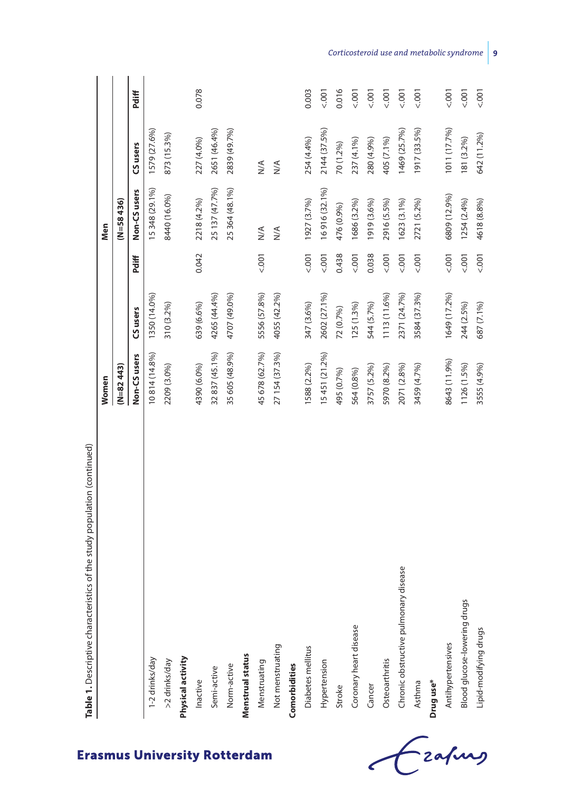| <b>Lable 1:</b> Descriptive cristine study population (collinious) | Women          |              |             | Men            |                      |              |
|--------------------------------------------------------------------|----------------|--------------|-------------|----------------|----------------------|--------------|
|                                                                    | (N=82443)      |              |             | $(N=58436)$    |                      |              |
|                                                                    | Non-CS users   | CS users     | Pdiff       | Non-CS users   | CS users             | Pdiff        |
| 1-2 drinks/day                                                     | 10814 (14.8%)  | 1350 (14.0%) |             | 15 348 (29.1%) | 1579 (27.6%)         |              |
| >2 drinks/day                                                      | 2209 (3.0%)    | 310 (3.2%)   |             | 8440 (16.0%)   | 873 (15.3%)          |              |
| Physical activity                                                  |                |              |             |                |                      |              |
| Inactive                                                           | 4390 (6.0%)    | 639 (6.6%)   | 0.042       | 2218 (4.2%)    | 227 (4.0%)           | 0.078        |
| Semi-active                                                        | 32 837 (45.1%) | 4265 (44.4%) |             | 25 137 (47.7%) | 2651 (46.4%)         |              |
| Norm-active                                                        | 35 605 (48.9%) | 4707 (49.0%) |             | 25 364 (48.1%) | 2839 (49.7%)         |              |
| Menstrual status                                                   |                |              |             |                |                      |              |
| Menstruating                                                       | 45 678 (62.7%) | 5556 (57.8%) | 5001        | $\leq$         | $\frac{4}{\sqrt{2}}$ |              |
| Not menstruating                                                   | 27 154 (37.3%) | 4055 (42.2%) |             | $\leq$         | $\frac{4}{\sqrt{2}}$ |              |
| Comorbidities                                                      |                |              |             |                |                      |              |
| Diabetes mellitus                                                  | 1588 (2.2%)    | 347 (3.6%)   | 5001        | 1927 (3.7%)    | 254 (4.4%)           | 0.003        |
| Hypertension                                                       | 15 451 (21.2%) | 2602 (27.1%) | $500 - 700$ | 16916 (32.1%)  | 2144 (37.5%)         | 5001         |
| Stroke                                                             | 495 (0.7%)     | 72 (0.7%)    | 0.438       | 476 (0.9%)     | 70 (1.2%)            | 0.016        |
| Coronary heart disease                                             | 564 (0.8%)     | $125(1.3\%)$ | 5001        | 1686 (3.2%)    | 237 (4.1%)           | 5001         |
| Cancer                                                             | 3757 (5.2%)    | 544 (5.7%)   | 0.038       | 1919 (3.6%)    | 280 (4.9%)           | 5001         |
| Osteoarthritis                                                     | 5970 (8.2%)    | 1113 (11.6%) | $500 - 700$ | 2916 (5.5%)    | 405 (7.1%)           | 5001         |
| Chronic obstructive pulmonary disease                              | 2071 (2.8%)    | 2371 (24.7%) | 5001        | 1623 (3.1%)    | 1469 (25.7%)         | $500 - 7001$ |
| Asthma                                                             | 3459 (4.7%)    | 3584 (37.3%) | 5001        | 2721 (5.2%)    | 1917 (33.5%)         | 5001         |
| Drug use*                                                          |                |              |             |                |                      |              |
| Antihypertensives                                                  | 8643 (11.9%)   | 1649 (17.2%) | $500 - 700$ | 6809 (12.9%)   | 1011 (17.7%)         | $500 - 700$  |
| Blood glucose-lowering drugs                                       | 1126 (1.5%)    | 244 (2.5%)   | 5001        | 1254 (2.4%)    | 181 (3.2%)           | 5001         |
| Lipid-modifying drugs                                              | 3555 (4.9%)    | 687 (7.1%)   | 5001        | 4618 (8.8%)    | 642 (11.2%)          | 5.001        |



*Corticosteroid use and metabolic syndrome* **9**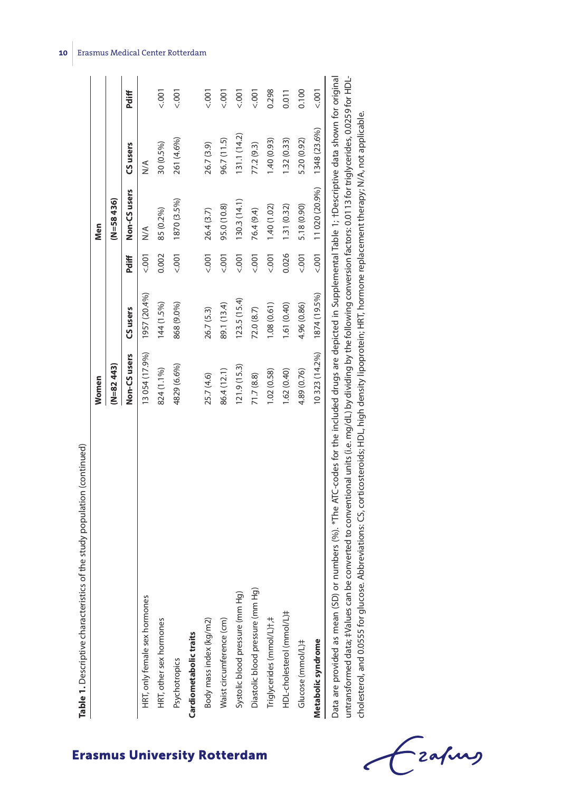|                                  | Women          |              |            | Men            |              |             |
|----------------------------------|----------------|--------------|------------|----------------|--------------|-------------|
|                                  | (N=82 443)     |              |            | (N=58436)      |              |             |
|                                  | Non-CS users   | CS users     | Pdiff      | Non-CS users   | CS users     | Pdiff       |
| HRT, only female sex hormones    | 13 054 (17.9%) | 1957 (20.4%) | 5001       | $\frac{1}{2}$  | $\leq$       |             |
| HRT, other sex hormones          | 824 (1.1%)     | 144 (1.5%)   | 0.002      | 85 (0.2%)      | 30 (0.5%)    | 5001        |
| Psychotropics                    | 4829 (6.6%)    | 868 (9.0%)   | 001        | 1870 (3.5%)    | 261 (4.6%)   | 5001        |
| Cardiometabolic traits           |                |              |            |                |              |             |
| Body mass index (kg/m2)          | 25.7 (4.6)     | 26.7 (5.3)   | 1001       | 26.4 (3.7)     | 26.7 (3.9)   | 001         |
| Waist circumference (cm)         | 86.4 (12.1)    | 89.1 (13.4)  | 001        | 95.0 (10.8)    | 96.7 (11.5)  | 5001        |
| Systolic blood pressure (mm Hg)  | 121.9(15.3)    | 123.5(15.4)  | $500 - 75$ | 130.3(14.1)    | 131.1(14.2)  | $500 - 700$ |
| Diastolic blood pressure (mm Hg) | 71.7(8.8)      | 72.0 (8.7)   | 001        | 76.4 (9.4)     | 77.2 (9.3)   | 5001        |
| Triglycerides (mmol/L)+,#        | 1.02(0.58)     | 1.08(0.61)   | 5001       | 1.40(1.02)     | 1.40 (0.93)  | 0.298       |
| HDL-cholesterol (mmol/L)#        | 1.62(0.40)     | 1.61 (0.40)  | 0.026      | 1.31(0.32)     | 1.32(0.33)   | 0.011       |
| Glucose (mmol/L)#                | 4.89 (0.76)    | 4.96 (0.86)  | 5001       | 5.18 (0.90)    | 5.20 (0.92)  | 0.100       |
| Metabolic syndrome               | 10323 (14.2%)  | 1874 (19.5%) | 5001       | 11 020 (20.9%) | 1348 (23.6%) | $500 - 700$ |

untransformed data; #Values can be converted to conventional units (i.e. mg/dL) by dividing by the following conversion factors: 0.0113 for triglycerides, 0.0259 for HDLuntransformed data; ‡Values can be converted to conventional units (i.e. mg/dL) by dividing by the following conversion factors: 0.0113 for triglycerides, 0.0259 for HDLcholesterol, and 0.0555 for glucose. Abbreviations: CS, corticosteroids; HDL, high density lipoprotein; HRT, hormone replacement therapy; N/A, not applicable. cholesterol, and 0.0555 for glucose. Abbreviations: CS, corticosteroids; HDL, high density lipoprotein; HRT, hormone replacement therapy; N/A, not applicable.

- zafung

#### **10** Erasmus Medical Center Rotterdam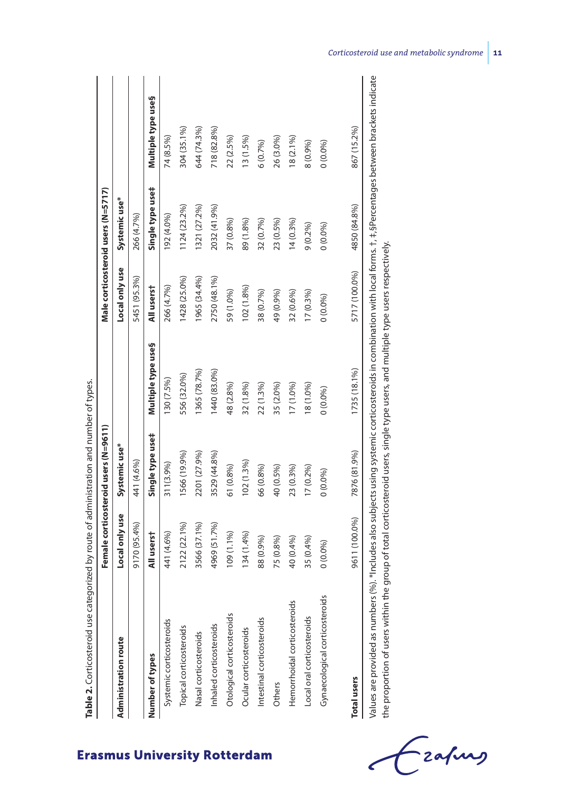|                                |                | Female corticosteroid users (N=9611) |                    |                | Male corticosteroid users (N=5717) |                    |
|--------------------------------|----------------|--------------------------------------|--------------------|----------------|------------------------------------|--------------------|
| <b>Administration route</b>    | Local only use | Systemic use*                        |                    | Local only use | Systemic use*                      |                    |
|                                | 9170 (95.4%)   | 441 (4.6%)                           |                    | 5451 (95.3%)   | 266 (4.7%)                         |                    |
| Number of types                | All userst     | Single type use‡                     | Multiple type use§ | All userst     | Single type use#                   | Multiple type uses |
| Systemic corticosteroids       | 441 (4.6%)     | 311(3.9%)                            | 130 (7.5%)         | 266 (4.7%)     | 192 (4.0%)                         | 74 (8.5%)          |
| Topical corticosteroids        | 2122 (22.1%)   | 1566 (19.9%)                         | 556 (32.0%)        | 1428 (25.0%)   | 1124 (23.2%)                       | 304 (35.1%)        |
| Nasal corticosteroids          | 3566 (37.1%)   | 2201 (27.9%)                         | 1365 (78.7%)       | 1965 (34.4%)   | 1321 (27.2%)                       | 644 (74.3%)        |
| Inhaled corticosteroids        | 4969 (51.7%)   | 3529 (44.8%)                         | 1440 (83.0%)       | 2750 (48.1%)   | 2032 (41.9%)                       | 718 (82.8%)        |
| Otological corticosteroids     | 109 (1.1%)     | $61(0.8\%)$                          | 48 (2.8%)          | 59 (1.0%)      | 37 (0.8%)                          | 22 (2.5%)          |
| Ocular corticosteroids         | 134(1.4%)      | $102(1.3\%)$                         | 32 (1.8%)          | 102 (1.8%)     | 89 (1.8%)                          | 13(1.5%)           |
| Intestinal corticosteroids     | 88 (0.9%)      | 66 (0.8%)                            | 22 (1.3%)          | 38 (0.7%)      | 32 (0.7%)                          | 6(0.7%)            |
| Others                         | 75 (0.8%)      | 40 (0.5%)                            | 35 (2.0%)          | 49 (0.9%)      | 23 (0.5%)                          | 26 (3.0%)          |
| Hemorrhoidal corticosteroids   | 40 (0.4%)      | 23 (0.3%)                            | 17 (1.0%)          | 32 (0.6%)      | $14(0.3\%)$                        | 18 (2.1%)          |
| Local oral corticosteroids     | 35 (0.4%)      | $17(0.2\%)$                          | 18 (1.0%)          | $(7(0.3\%)$    | $9(0.2\%)$                         | 8 (0.9%)           |
| Gynaecological corticosteroids | $(0.0\%)$      | $0(0.0\%)$                           | 0(0.0%)            | $0(0.0\%)$     | $0(0.0\%)$                         | 0(0.0%)            |
| <b>Total users</b>             | 9611 (100.0%)  | 7876 (81.9%)                         | 1735 (18.1%)       | 5717 (100.0%)  | 4850 (84.8%)                       | 867 (15.2%)        |

| Í<br>i<br>ś<br>١<br>ţ<br>d<br>i<br>١<br>ׇ֚֬֡<br>l<br>l<br>J<br>F<br>i<br>١<br>i<br>1<br>Į<br>J<br>¢<br>١<br>Ì<br>ׇ֖֖֖ׅ֚֚֚֚֚֚֚֚֚֚֚֚֚֚֚֚֚֚֚֚֚֚֚֚֚֡֡֬֡֡֡֡֡֡֡֡֡֬֝֓֞֡֡֬<br>I<br>֠<br>ı<br>į<br>¢<br>I<br>j<br>I<br>J<br>١<br>l<br>١<br>J<br>I<br>į<br>ţ<br>į |
|---------------------------------------------------------------------------------------------------------------------------------------------------------------------------------------------------------------------------------------------------------|
|                                                                                                                                                                                                                                                         |
|                                                                                                                                                                                                                                                         |
|                                                                                                                                                                                                                                                         |
|                                                                                                                                                                                                                                                         |
|                                                                                                                                                                                                                                                         |
|                                                                                                                                                                                                                                                         |
|                                                                                                                                                                                                                                                         |
|                                                                                                                                                                                                                                                         |
|                                                                                                                                                                                                                                                         |
|                                                                                                                                                                                                                                                         |
|                                                                                                                                                                                                                                                         |
|                                                                                                                                                                                                                                                         |

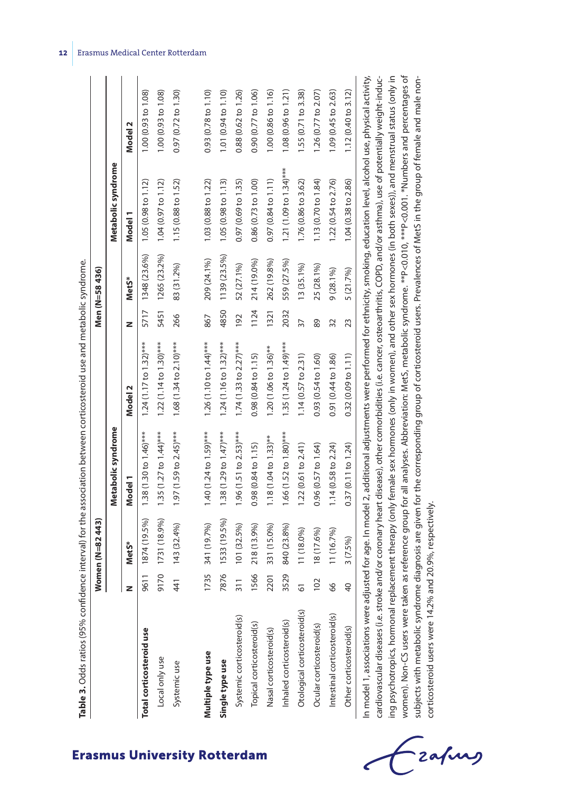|                                                                                                                                                                                                                                                                                                                                                             |                 | Women (N=82443) |                                      |                                    |      | Men (N=58 436) |                                    |                               |
|-------------------------------------------------------------------------------------------------------------------------------------------------------------------------------------------------------------------------------------------------------------------------------------------------------------------------------------------------------------|-----------------|-----------------|--------------------------------------|------------------------------------|------|----------------|------------------------------------|-------------------------------|
|                                                                                                                                                                                                                                                                                                                                                             |                 |                 | Metabolic syndrome                   |                                    |      |                | Metabolic syndrome                 |                               |
|                                                                                                                                                                                                                                                                                                                                                             | z               | MetS*           | Model 1                              | Model 2                            | z    | MetS*          | Model 1                            | Model 2                       |
| Total corticosteroid use                                                                                                                                                                                                                                                                                                                                    | 9611            | 1874 (19.5%)    | $1.38(1.30 to 1.46)***$              | $1.24(1.17 to 1.32)$ ***           | 5717 | 1348 (23.6%)   | $1.05(0.98 \text{ to } 1.12)$      | 1.00 (0.93 to 1.08)           |
| Local only use                                                                                                                                                                                                                                                                                                                                              | 9170            | 1731 (18.9%)    | $1.35(1.27 to 1.44)$ ***             | $1.22(1.14 to 1.30)$ ***           | 5451 | 1265 (23.2%)   | 1.04 (0.97 to 1.12)                | 1.00 (0.93 to 1.08)           |
| Systemic use                                                                                                                                                                                                                                                                                                                                                | 41              | 143 (32.4%)     | $1.97(1.59$ to $2.45$ <sup>***</sup> | $1.68(1.34 to 2.10)$ ***           | 266  | 83 (31.2%)     | 1.15(0.88 to 1.52)                 | $0.97(0.72 \text{ to } 1.30)$ |
|                                                                                                                                                                                                                                                                                                                                                             |                 |                 |                                      |                                    |      |                |                                    |                               |
| Multiple type use                                                                                                                                                                                                                                                                                                                                           | 1735            | 341 (19.7%)     | $1.40(1.24 to 1.59)***$              | 1.26 $(1.10 \text{ to } 1.44)$ *** | 867  | 209 (24.1%)    | 1.03 (0.88 to 1.22)                | 0.93 (0.78 to 1.10)           |
| Single type use                                                                                                                                                                                                                                                                                                                                             | 7876            | 1533 (19.5%)    | $1.38(1.29 to 1.47)$ ***             | $1.24(1.16 to 1.32)***$            | 4850 | 1139 (23.5%)   | $1.05(0.98 \text{ to } 1.13)$      | 1.01 (0.94 to 1.10)           |
| Systemic corticosteroid(s)                                                                                                                                                                                                                                                                                                                                  | $\frac{311}{2}$ | 101 (32.5%)     | $1.96(1.51$ to $2.53)$ ***           | 1.74 (1.33 to 2.27)***             | 192  | 52 (27.1%)     | 0.97 (0.69 to 1.35)                | 0.88 (0.62 to 1.26)           |
| Topical corticosteroid(s)                                                                                                                                                                                                                                                                                                                                   | 1566            | 218 (13.9%)     | 0.98(0.84 to 1.15)                   | 0.98(0.84 to 1.15)                 | 1124 | 214 (19.0%)    | 0.86 (0.73 to 1.00)                | 0.90(0.77 to 1.06)            |
| Nasal corticosteroid(s)                                                                                                                                                                                                                                                                                                                                     | 2201            | 331 (15.0%)     | $1.18(1.04 to 1.33)$ **              | 1.20 (1.06 to 1.36)**              | 1321 | 262 (19.8%)    | 0.97 (0.84 to 1.11)                | 1.00 (0.86 to 1.16)           |
| Inhaled corticosteroid(s)                                                                                                                                                                                                                                                                                                                                   | 3529            | 840 (23.8%)     | $1.66(1.52 to 1.80)$ ***             | 1.35 (1.24 to 1.49)***             | 2032 | 559 (27.5%)    | 1.21 $(1.09 \text{ to } 1.34)$ *** | 1.08 (0.96 to 1.21)           |
| Otological corticosteroid(s)                                                                                                                                                                                                                                                                                                                                | 51              | $11(18.0\%)$    | 1.22(0.61 to 2.41)                   | 1.14(0.57 to 2.31)                 | 37   | $13(35.1\%)$   | 1.76 (0.86 to 3.62)                | 1.55 (0.71 to 3.38)           |
| Ocular corticosteroid(s)                                                                                                                                                                                                                                                                                                                                    | 102             | 18 (17.6%)      | 0.96(0.57 to 1.64)                   | 0.93 (0.54 to 1.60)                | 89   | 25 (28.1%)     | 1.13 (0.70 to 1.84)                | 1.26 (0.77 to 2.07)           |
| Intestinal corticosteroid(s)                                                                                                                                                                                                                                                                                                                                | 66              | 11 (16.7%)      | 1.14(0.58 to 2.24)                   | 0.91 (0.44 to 1.86)                | 32   | $9(28.1\%)$    | 1.22 (0.54 to 2.76)                | 1.09 (0.45 to 2.63)           |
| Other corticosteroid(s)                                                                                                                                                                                                                                                                                                                                     | $\overline{40}$ | 3 (7.5%)        | 0.37(0.11 to 1.24)                   | 0.32(0.09 to 1.11)                 | 23   | 5 (21.7%)      | 1.04 (0.38 to 2.86)                | 1.12 (0.40 to 3.12)           |
| In model 1, associations were adjusted for age. In model 2, additional adjustments were performed for ethnicity, smoking, education level, alcohol use, physical activity,<br>cardiovascular diseases (i.e. stroke and/or coronary heart disease), other comorbidities (i.e. cancer, osteoarthritis, COPD, and/or asthma), use of potentially weight-induc- |                 |                 |                                      |                                    |      |                |                                    |                               |
| ing psychotropics, hormonal replacement therapy (only female sex hormones (only in women), and other sex hormones (in both sexes)), and menstrual status (only in                                                                                                                                                                                           |                 |                 |                                      |                                    |      |                |                                    |                               |

**12** Erasmus Medical Center Rotterdam

**Erasmus University Rotterdam** 

- zafung

corticosteroid users were 14.2% and 20.9%, respectively.

corticosteroid users were 14.2% and 20.9%, respectively.

women). Non-CS users were taken as reference group for all analyses. Abbreviation: MetS, metabolic syndrome. \*\*P<0.010, \*\*\*P<0.001. \*Numbers and percentages of subjects with metabolic syndrome diagnosis are given for the corresponding group of corticosteroid users. Prevalences of MetS in the group of female and male non-

women). Non-CS users were taken as reference group for all analyses. Abbreviation: MetS, metabolic syndrome. \*\*P<0.010, \*\*\*P<0.001. \*Numbers and percentages of subjects with metabolic syndrome diagnosis are given for the corresponding group of corticosteroid users. Prevalences of MetS in the group of female and male non-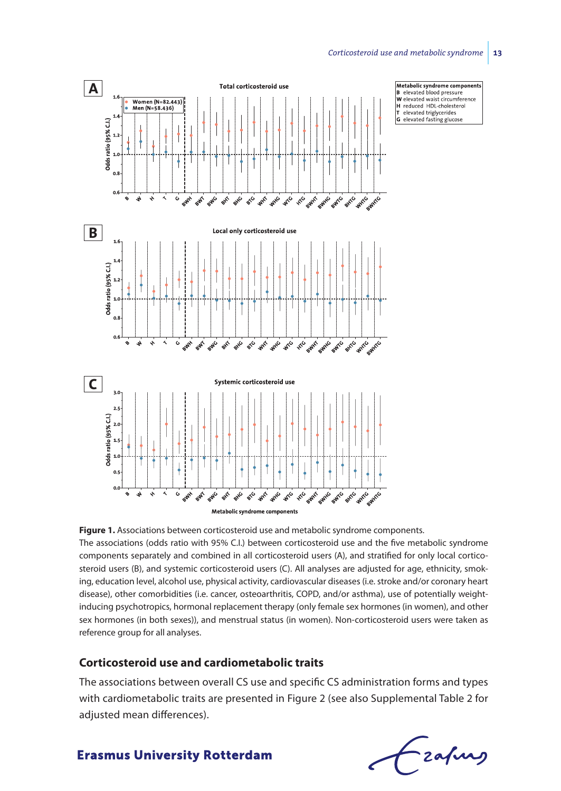

**Figure 1.** Associations between corticosteroid use and metabolic syndrome components. The associations (odds ratio with 95% C.I.) between corticosteroid use and the five metabolic syndrome components separately and combined in all corticosteroid users (A), and stratified for only local corticosteroid users (B), and systemic corticosteroid users (C). All analyses are adjusted for age, ethnicity, smoking, education level, alcohol use, physical activity, cardiovascular diseases (i.e. stroke and/or coronary heart disease), other comorbidities (i.e. cancer, osteoarthritis, COPD, and/or asthma), use of potentially weightinducing psychotropics, hormonal replacement therapy (only female sex hormones (in women), and other sex hormones (in both sexes)), and menstrual status (in women). Non-corticosteroid users were taken as reference group for all analyses.

#### **Corticosteroid use and cardiometabolic traits**

The associations between overall CS use and specific CS administration forms and types with cardiometabolic traits are presented in Figure 2 (see also Supplemental Table 2 for adjusted mean differences).

Frafing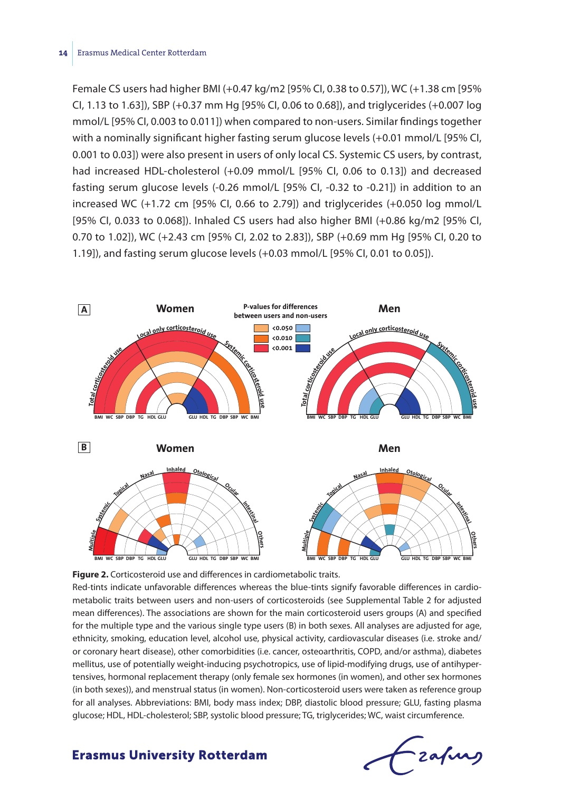#### **14** Erasmus Medical Center Rotterdam

Female CS users had higher BMI (+0.47 kg/m2 [95% CI, 0.38 to 0.57]), WC (+1.38 cm [95% CI, 1.13 to 1.63]), SBP (+0.37 mm Hg [95% CI, 0.06 to 0.68]), and triglycerides (+0.007 log mmol/L [95% CI, 0.003 to 0.011]) when compared to non-users. Similar findings together with a nominally significant higher fasting serum glucose levels (+0.01 mmol/L [95% CI, 0.001 to 0.03]) were also present in users of only local CS. Systemic CS users, by contrast, had increased HDL-cholesterol (+0.09 mmol/L [95% CI, 0.06 to 0.13]) and decreased fasting serum glucose levels (-0.26 mmol/L [95% CI, -0.32 to -0.21]) in addition to an increased WC (+1.72 cm [95% CI, 0.66 to 2.79]) and triglycerides (+0.050 log mmol/L [95% CI, 0.033 to 0.068]). Inhaled CS users had also higher BMI (+0.86 kg/m2 [95% CI, 0.70 to 1.02]), WC (+2.43 cm [95% CI, 2.02 to 2.83]), SBP (+0.69 mm Hg [95% CI, 0.20 to 1.19]), and fasting serum glucose levels (+0.03 mmol/L [95% CI, 0.01 to 0.05]).



**Figure 2.** Corticosteroid use and differences in cardiometabolic traits.

Red-tints indicate unfavorable differences whereas the blue-tints signify favorable differences in cardiometabolic traits between users and non-users of corticosteroids (see Supplemental Table 2 for adjusted mean differences). The associations are shown for the main corticosteroid users groups (A) and specified for the multiple type and the various single type users (B) in both sexes. All analyses are adjusted for age, ethnicity, smoking, education level, alcohol use, physical activity, cardiovascular diseases (i.e. stroke and/ or coronary heart disease), other comorbidities (i.e. cancer, osteoarthritis, COPD, and/or asthma), diabetes mellitus, use of potentially weight-inducing psychotropics, use of lipid-modifying drugs, use of antihypertensives, hormonal replacement therapy (only female sex hormones (in women), and other sex hormones (in both sexes)), and menstrual status (in women). Non-corticosteroid users were taken as reference group for all analyses. Abbreviations: BMI, body mass index; DBP, diastolic blood pressure; GLU, fasting plasma glucose; HDL, HDL-cholesterol; SBP, systolic blood pressure; TG, triglycerides; WC, waist circumference.

frafing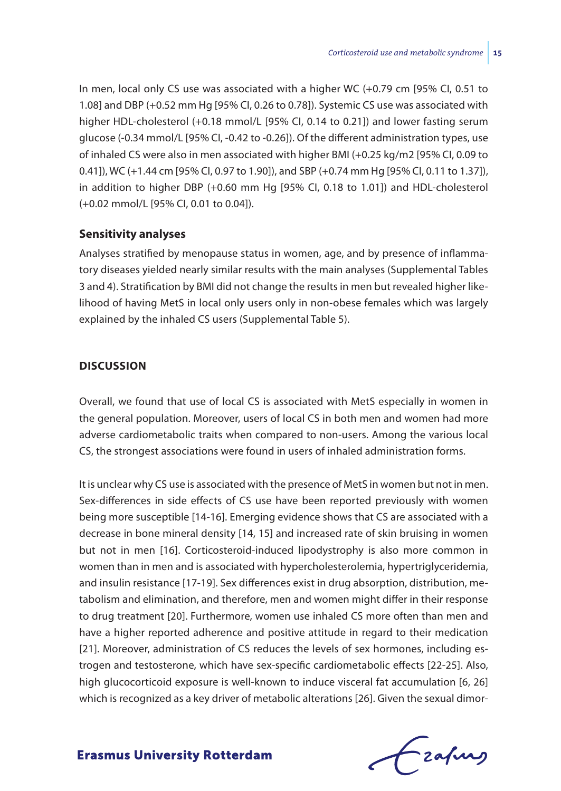In men, local only CS use was associated with a higher WC (+0.79 cm [95% CI, 0.51 to 1.08] and DBP (+0.52 mm Hg [95% CI, 0.26 to 0.78]). Systemic CS use was associated with higher HDL-cholesterol (+0.18 mmol/L [95% CI, 0.14 to 0.21]) and lower fasting serum glucose (-0.34 mmol/L [95% CI, -0.42 to -0.26]). Of the different administration types, use of inhaled CS were also in men associated with higher BMI (+0.25 kg/m2 [95% CI, 0.09 to 0.41]), WC (+1.44 cm [95% CI, 0.97 to 1.90]), and SBP (+0.74 mm Hg [95% CI, 0.11 to 1.37]), in addition to higher DBP (+0.60 mm Hg [95% CI, 0.18 to 1.01]) and HDL-cholesterol (+0.02 mmol/L [95% CI, 0.01 to 0.04]).

#### **Sensitivity analyses**

Analyses stratified by menopause status in women, age, and by presence of inflammatory diseases yielded nearly similar results with the main analyses (Supplemental Tables 3 and 4). Stratification by BMI did not change the results in men but revealed higher likelihood of having MetS in local only users only in non-obese females which was largely explained by the inhaled CS users (Supplemental Table 5).

#### **Discussion**

Overall, we found that use of local CS is associated with MetS especially in women in the general population. Moreover, users of local CS in both men and women had more adverse cardiometabolic traits when compared to non-users. Among the various local CS, the strongest associations were found in users of inhaled administration forms.

It is unclear why CS use is associated with the presence of MetS in women but not in men. Sex-differences in side effects of CS use have been reported previously with women being more susceptible [14-16]. Emerging evidence shows that CS are associated with a decrease in bone mineral density [14, 15] and increased rate of skin bruising in women but not in men [16]. Corticosteroid-induced lipodystrophy is also more common in women than in men and is associated with hypercholesterolemia, hypertriglyceridemia, and insulin resistance [17-19]. Sex differences exist in drug absorption, distribution, metabolism and elimination, and therefore, men and women might differ in their response to drug treatment [20]. Furthermore, women use inhaled CS more often than men and have a higher reported adherence and positive attitude in regard to their medication [21]. Moreover, administration of CS reduces the levels of sex hormones, including estrogen and testosterone, which have sex-specific cardiometabolic effects [22-25]. Also, high glucocorticoid exposure is well-known to induce visceral fat accumulation [6, 26] which is recognized as a key driver of metabolic alterations [26]. Given the sexual dimor-

Czafurg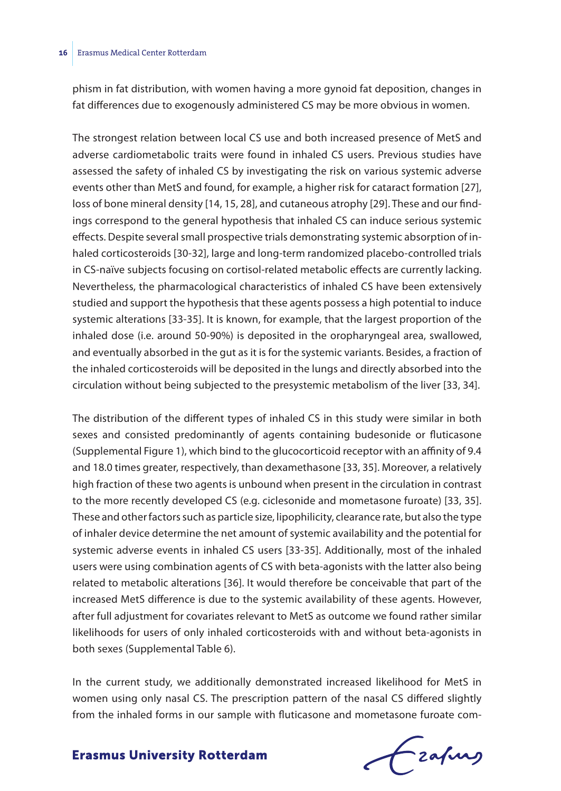phism in fat distribution, with women having a more gynoid fat deposition, changes in fat differences due to exogenously administered CS may be more obvious in women.

The strongest relation between local CS use and both increased presence of MetS and adverse cardiometabolic traits were found in inhaled CS users. Previous studies have assessed the safety of inhaled CS by investigating the risk on various systemic adverse events other than MetS and found, for example, a higher risk for cataract formation [27], loss of bone mineral density [14, 15, 28], and cutaneous atrophy [29]. These and our findings correspond to the general hypothesis that inhaled CS can induce serious systemic effects. Despite several small prospective trials demonstrating systemic absorption of inhaled corticosteroids [30-32], large and long-term randomized placebo-controlled trials in CS-naïve subjects focusing on cortisol-related metabolic effects are currently lacking. Nevertheless, the pharmacological characteristics of inhaled CS have been extensively studied and support the hypothesis that these agents possess a high potential to induce systemic alterations [33-35]. It is known, for example, that the largest proportion of the inhaled dose (i.e. around 50-90%) is deposited in the oropharyngeal area, swallowed, and eventually absorbed in the gut as it is for the systemic variants. Besides, a fraction of the inhaled corticosteroids will be deposited in the lungs and directly absorbed into the circulation without being subjected to the presystemic metabolism of the liver [33, 34].

The distribution of the different types of inhaled CS in this study were similar in both sexes and consisted predominantly of agents containing budesonide or fluticasone (Supplemental Figure 1), which bind to the glucocorticoid receptor with an affinity of 9.4 and 18.0 times greater, respectively, than dexamethasone [33, 35]. Moreover, a relatively high fraction of these two agents is unbound when present in the circulation in contrast to the more recently developed CS (e.g. ciclesonide and mometasone furoate) [33, 35]. These and other factors such as particle size, lipophilicity, clearance rate, but also the type of inhaler device determine the net amount of systemic availability and the potential for systemic adverse events in inhaled CS users [33-35]. Additionally, most of the inhaled users were using combination agents of CS with beta-agonists with the latter also being related to metabolic alterations [36]. It would therefore be conceivable that part of the increased MetS difference is due to the systemic availability of these agents. However, after full adjustment for covariates relevant to MetS as outcome we found rather similar likelihoods for users of only inhaled corticosteroids with and without beta-agonists in both sexes (Supplemental Table 6).

In the current study, we additionally demonstrated increased likelihood for MetS in women using only nasal CS. The prescription pattern of the nasal CS differed slightly from the inhaled forms in our sample with fluticasone and mometasone furoate com-

# frafing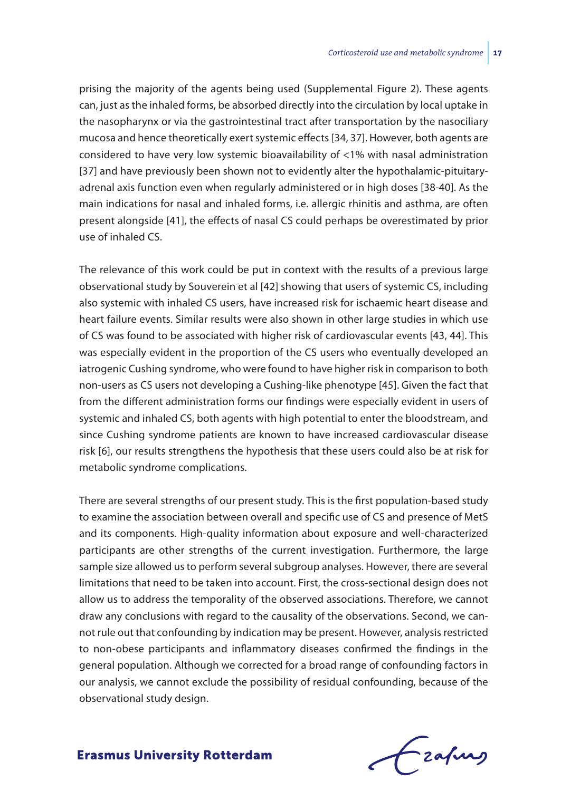prising the majority of the agents being used (Supplemental Figure 2). These agents can, just as the inhaled forms, be absorbed directly into the circulation by local uptake in the nasopharynx or via the gastrointestinal tract after transportation by the nasociliary mucosa and hence theoretically exert systemic effects [34, 37]. However, both agents are considered to have very low systemic bioavailability of <1% with nasal administration [37] and have previously been shown not to evidently alter the hypothalamic-pituitaryadrenal axis function even when regularly administered or in high doses [38-40]. As the main indications for nasal and inhaled forms, i.e. allergic rhinitis and asthma, are often present alongside [41], the effects of nasal CS could perhaps be overestimated by prior use of inhaled CS.

The relevance of this work could be put in context with the results of a previous large observational study by Souverein et al [42] showing that users of systemic CS, including also systemic with inhaled CS users, have increased risk for ischaemic heart disease and heart failure events. Similar results were also shown in other large studies in which use of CS was found to be associated with higher risk of cardiovascular events [43, 44]. This was especially evident in the proportion of the CS users who eventually developed an iatrogenic Cushing syndrome, who were found to have higher risk in comparison to both non-users as CS users not developing a Cushing-like phenotype [45]. Given the fact that from the different administration forms our findings were especially evident in users of systemic and inhaled CS, both agents with high potential to enter the bloodstream, and since Cushing syndrome patients are known to have increased cardiovascular disease risk [6], our results strengthens the hypothesis that these users could also be at risk for metabolic syndrome complications.

There are several strengths of our present study. This is the first population-based study to examine the association between overall and specific use of CS and presence of MetS and its components. High-quality information about exposure and well-characterized participants are other strengths of the current investigation. Furthermore, the large sample size allowed us to perform several subgroup analyses. However, there are several limitations that need to be taken into account. First, the cross-sectional design does not allow us to address the temporality of the observed associations. Therefore, we cannot draw any conclusions with regard to the causality of the observations. Second, we cannot rule out that confounding by indication may be present. However, analysis restricted to non-obese participants and inflammatory diseases confirmed the findings in the general population. Although we corrected for a broad range of confounding factors in our analysis, we cannot exclude the possibility of residual confounding, because of the observational study design.

Frafing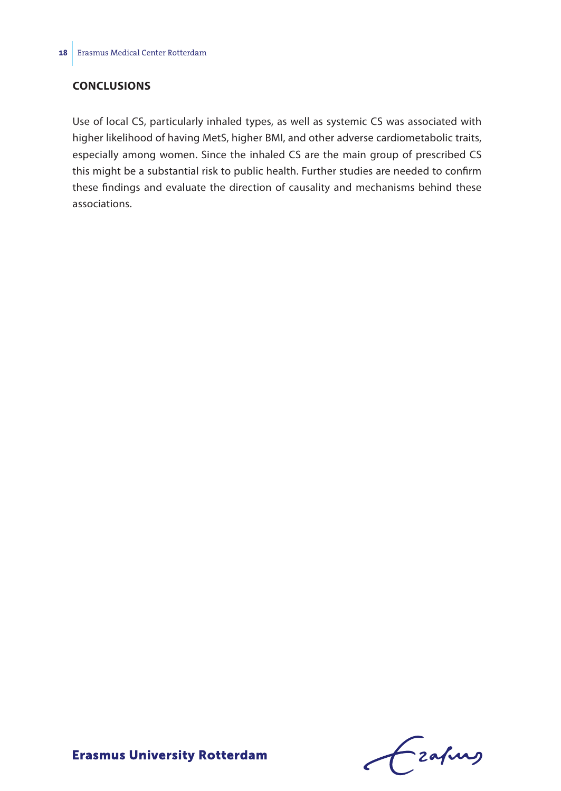## **Conclusions**

Use of local CS, particularly inhaled types, as well as systemic CS was associated with higher likelihood of having MetS, higher BMI, and other adverse cardiometabolic traits, especially among women. Since the inhaled CS are the main group of prescribed CS this might be a substantial risk to public health. Further studies are needed to confirm these findings and evaluate the direction of causality and mechanisms behind these associations.

Fraking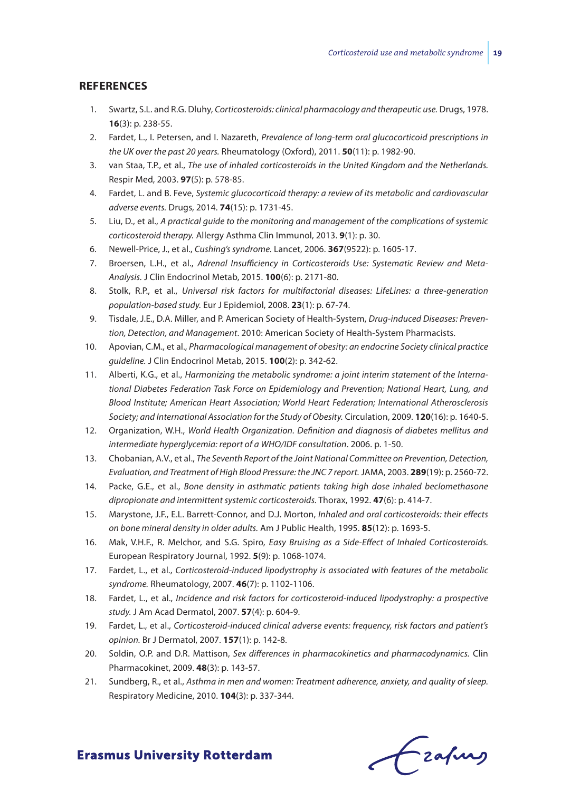#### **References**

- 1. Swartz, S.L. and R.G. Dluhy, *Corticosteroids: clinical pharmacology and therapeutic use.* Drugs, 1978. **16**(3): p. 238-55.
- 2. Fardet, L., I. Petersen, and I. Nazareth, *Prevalence of long-term oral glucocorticoid prescriptions in the UK over the past 20 years.* Rheumatology (Oxford), 2011. **50**(11): p. 1982-90.
- 3. van Staa, T.P., et al., *The use of inhaled corticosteroids in the United Kingdom and the Netherlands.* Respir Med, 2003. **97**(5): p. 578-85.
- 4. Fardet, L. and B. Feve, *Systemic glucocorticoid therapy: a review of its metabolic and cardiovascular adverse events.* Drugs, 2014. **74**(15): p. 1731-45.
- 5. Liu, D., et al., *A practical guide to the monitoring and management of the complications of systemic corticosteroid therapy.* Allergy Asthma Clin Immunol, 2013. **9**(1): p. 30.
- 6. Newell-Price, J., et al., *Cushing's syndrome.* Lancet, 2006. **367**(9522): p. 1605-17.
- 7. Broersen, L.H., et al., *Adrenal Insufficiency in Corticosteroids Use: Systematic Review and Meta-Analysis.* J Clin Endocrinol Metab, 2015. **100**(6): p. 2171-80.
- 8. Stolk, R.P., et al., *Universal risk factors for multifactorial diseases: LifeLines: a three-generation population-based study.* Eur J Epidemiol, 2008. **23**(1): p. 67-74.
- 9. Tisdale, J.E., D.A. Miller, and P. American Society of Health-System, *Drug-induced Diseases: Prevention, Detection, and Management*. 2010: American Society of Health-System Pharmacists.
- 10. Apovian, C.M., et al., *Pharmacological management of obesity: an endocrine Society clinical practice guideline.* J Clin Endocrinol Metab, 2015. **100**(2): p. 342-62.
- 11. Alberti, K.G., et al., *Harmonizing the metabolic syndrome: a joint interim statement of the International Diabetes Federation Task Force on Epidemiology and Prevention; National Heart, Lung, and Blood Institute; American Heart Association; World Heart Federation; International Atherosclerosis Society; and International Association for the Study of Obesity.* Circulation, 2009. **120**(16): p. 1640-5.
- 12. Organization, W.H., *World Health Organization. Definition and diagnosis of diabetes mellitus and intermediate hyperglycemia: report of a WHO/IDF consultation*. 2006. p. 1-50.
- 13. Chobanian, A.V., et al., *The Seventh Report of the Joint National Committee on Prevention, Detection, Evaluation, and Treatment of High Blood Pressure: the JNC 7 report.* JAMA, 2003. **289**(19): p. 2560-72.
- 14. Packe, G.E., et al., *Bone density in asthmatic patients taking high dose inhaled beclomethasone dipropionate and intermittent systemic corticosteroids.* Thorax, 1992. **47**(6): p. 414-7.
- 15. Marystone, J.F., E.L. Barrett-Connor, and D.J. Morton, *Inhaled and oral corticosteroids: their effects on bone mineral density in older adults.* Am J Public Health, 1995. **85**(12): p. 1693-5.
- 16. Mak, V.H.F., R. Melchor, and S.G. Spiro, *Easy Bruising as a Side-Effect of Inhaled Corticosteroids.* European Respiratory Journal, 1992. **5**(9): p. 1068-1074.
- 17. Fardet, L., et al., *Corticosteroid-induced lipodystrophy is associated with features of the metabolic syndrome.* Rheumatology, 2007. **46**(7): p. 1102-1106.
- 18. Fardet, L., et al., *Incidence and risk factors for corticosteroid-induced lipodystrophy: a prospective study.* J Am Acad Dermatol, 2007. **57**(4): p. 604-9.
- 19. Fardet, L., et al., *Corticosteroid-induced clinical adverse events: frequency, risk factors and patient's opinion.* Br J Dermatol, 2007. **157**(1): p. 142-8.
- 20. Soldin, O.P. and D.R. Mattison, *Sex differences in pharmacokinetics and pharmacodynamics.* Clin Pharmacokinet, 2009. **48**(3): p. 143-57.
- 21. Sundberg, R., et al., *Asthma in men and women: Treatment adherence, anxiety, and quality of sleep.* Respiratory Medicine, 2010. **104**(3): p. 337-344.

Czafurz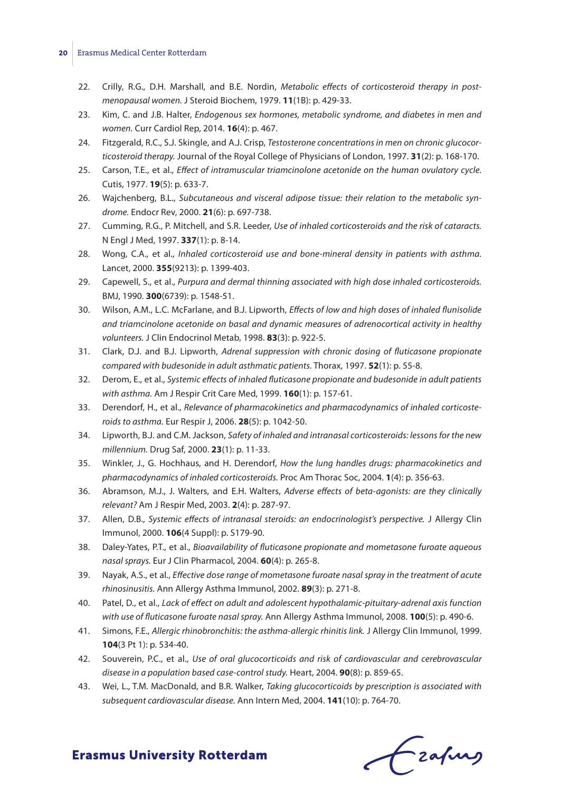#### **20** Erasmus Medical Center Rotterdam

- 22. Crilly, R.G., D.H. Marshall, and B.E. Nordin, *Metabolic effects of corticosteroid therapy in postmenopausal women.* J Steroid Biochem, 1979. **11**(1B): p. 429-33.
- 23. Kim, C. and J.B. Halter, *Endogenous sex hormones, metabolic syndrome, and diabetes in men and women.* Curr Cardiol Rep, 2014. **16**(4): p. 467.
- 24. Fitzgerald, R.C., S.J. Skingle, and A.J. Crisp, *Testosterone concentrations in men on chronic glucocorticosteroid therapy.* Journal of the Royal College of Physicians of London, 1997. **31**(2): p. 168-170.
- 25. Carson, T.E., et al., *Effect of intramuscular triamcinolone acetonide on the human ovulatory cycle.* Cutis, 1977. **19**(5): p. 633-7.
- 26. Wajchenberg, B.L., *Subcutaneous and visceral adipose tissue: their relation to the metabolic syndrome.* Endocr Rev, 2000. **21**(6): p. 697-738.
- 27. Cumming, R.G., P. Mitchell, and S.R. Leeder, *Use of inhaled corticosteroids and the risk of cataracts.* N Engl J Med, 1997. **337**(1): p. 8-14.
- 28. Wong, C.A., et al., *Inhaled corticosteroid use and bone-mineral density in patients with asthma.* Lancet, 2000. **355**(9213): p. 1399-403.
- 29. Capewell, S., et al., *Purpura and dermal thinning associated with high dose inhaled corticosteroids.* BMJ, 1990. **300**(6739): p. 1548-51.
- 30. Wilson, A.M., L.C. McFarlane, and B.J. Lipworth, *Effects of low and high doses of inhaled flunisolide and triamcinolone acetonide on basal and dynamic measures of adrenocortical activity in healthy volunteers.* J Clin Endocrinol Metab, 1998. **83**(3): p. 922-5.
- 31. Clark, D.J. and B.J. Lipworth, *Adrenal suppression with chronic dosing of fluticasone propionate compared with budesonide in adult asthmatic patients.* Thorax, 1997. **52**(1): p. 55-8.
- 32. Derom, E., et al., *Systemic effects of inhaled fluticasone propionate and budesonide in adult patients with asthma.* Am J Respir Crit Care Med, 1999. **160**(1): p. 157-61.
- 33. Derendorf, H., et al., *Relevance of pharmacokinetics and pharmacodynamics of inhaled corticosteroids to asthma.* Eur Respir J, 2006. **28**(5): p. 1042-50.
- 34. Lipworth, B.J. and C.M. Jackson, *Safety of inhaled and intranasal corticosteroids: lessons for the new millennium.* Drug Saf, 2000. **23**(1): p. 11-33.
- 35. Winkler, J., G. Hochhaus, and H. Derendorf, *How the lung handles drugs: pharmacokinetics and pharmacodynamics of inhaled corticosteroids.* Proc Am Thorac Soc, 2004. **1**(4): p. 356-63.
- 36. Abramson, M.J., J. Walters, and E.H. Walters, *Adverse effects of beta-agonists: are they clinically relevant?* Am J Respir Med, 2003. **2**(4): p. 287-97.
- 37. Allen, D.B., *Systemic effects of intranasal steroids: an endocrinologist's perspective.* J Allergy Clin Immunol, 2000. **106**(4 Suppl): p. S179-90.
- 38. Daley-Yates, P.T., et al., *Bioavailability of fluticasone propionate and mometasone furoate aqueous nasal sprays.* Eur J Clin Pharmacol, 2004. **60**(4): p. 265-8.
- 39. Nayak, A.S., et al., *Effective dose range of mometasone furoate nasal spray in the treatment of acute rhinosinusitis.* Ann Allergy Asthma Immunol, 2002. **89**(3): p. 271-8.
- 40. Patel, D., et al., *Lack of effect on adult and adolescent hypothalamic-pituitary-adrenal axis function with use of fluticasone furoate nasal spray.* Ann Allergy Asthma Immunol, 2008. **100**(5): p. 490-6.
- 41. Simons, F.E., *Allergic rhinobronchitis: the asthma-allergic rhinitis link.* J Allergy Clin Immunol, 1999. **104**(3 Pt 1): p. 534-40.
- 42. Souverein, P.C., et al., *Use of oral glucocorticoids and risk of cardiovascular and cerebrovascular disease in a population based case-control study.* Heart, 2004. **90**(8): p. 859-65.
- 43. Wei, L., T.M. MacDonald, and B.R. Walker, *Taking glucocorticoids by prescription is associated with subsequent cardiovascular disease.* Ann Intern Med, 2004. **141**(10): p. 764-70.

Czafurg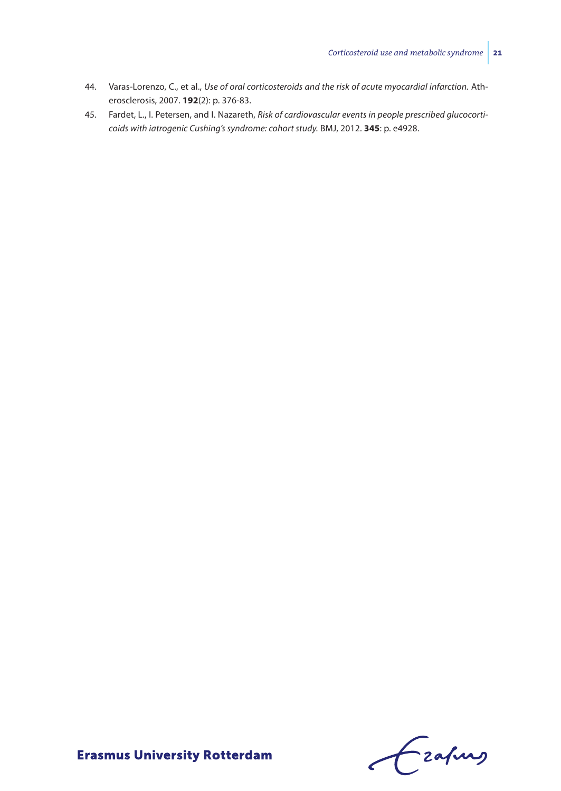- 44. Varas-Lorenzo, C., et al., *Use of oral corticosteroids and the risk of acute myocardial infarction.* Atherosclerosis, 2007. **192**(2): p. 376-83.
- 45. Fardet, L., I. Petersen, and I. Nazareth, *Risk of cardiovascular events in people prescribed glucocorticoids with iatrogenic Cushing's syndrome: cohort study.* BMJ, 2012. **345**: p. e4928.

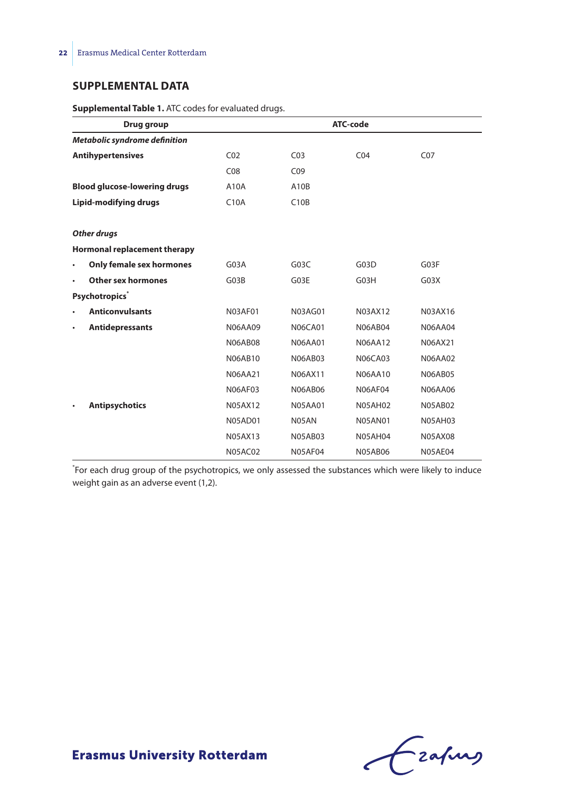#### **Supplemental Data**

|           | Drug group                          |                 |                 | ATC-code        |                 |
|-----------|-------------------------------------|-----------------|-----------------|-----------------|-----------------|
|           | Metabolic syndrome definition       |                 |                 |                 |                 |
|           | <b>Antihypertensives</b>            | CO <sub>2</sub> | CO <sub>3</sub> | CO <sub>4</sub> | CO <sub>7</sub> |
|           |                                     | C <sub>08</sub> | CO9             |                 |                 |
|           | <b>Blood glucose-lowering drugs</b> | A10A            | A10B            |                 |                 |
|           | Lipid-modifying drugs               | C10A            | C10B            |                 |                 |
|           | <b>Other drugs</b>                  |                 |                 |                 |                 |
|           | Hormonal replacement therapy        |                 |                 |                 |                 |
| $\bullet$ | Only female sex hormones            | G03A            | G03C            | G03D            | G03F            |
| $\bullet$ | <b>Other sex hormones</b>           | G03B            | G03E            | G03H            | G03X            |
|           | <b>Psychotropics</b> *              |                 |                 |                 |                 |
| $\bullet$ | <b>Anticonvulsants</b>              | <b>N03AF01</b>  | N03AG01         | N03AX12         | N03AX16         |
| $\bullet$ | <b>Antidepressants</b>              | <b>N06AA09</b>  | <b>N06CA01</b>  | <b>N06AB04</b>  | <b>N06AA04</b>  |
|           |                                     | <b>N06AB08</b>  | <b>N06AA01</b>  | <b>N06AA12</b>  | N06AX21         |
|           |                                     | <b>N06AB10</b>  | <b>N06AB03</b>  | <b>N06CA03</b>  | <b>N06AA02</b>  |
|           |                                     | <b>N06AA21</b>  | N06AX11         | <b>N06AA10</b>  | <b>N06AB05</b>  |
|           |                                     | <b>N06AF03</b>  | <b>N06AB06</b>  | <b>N06AF04</b>  | <b>N06AA06</b>  |
|           | <b>Antipsychotics</b>               | <b>N05AX12</b>  | <b>N05AA01</b>  | <b>N05AH02</b>  | <b>N05AB02</b>  |
|           |                                     | <b>N05AD01</b>  | N05AN           | <b>N05AN01</b>  | <b>N05AH03</b>  |
|           |                                     | <b>N05AX13</b>  | <b>N05AB03</b>  | <b>N05AH04</b>  | <b>N05AX08</b>  |
|           |                                     | N05AC02         | N05AF04         | <b>N05AB06</b>  | <b>N05AE04</b>  |

**Supplemental Table 1.** ATC codes for evaluated drugs.

\* For each drug group of the psychotropics, we only assessed the substances which were likely to induce weight gain as an adverse event (1,2).

Crahns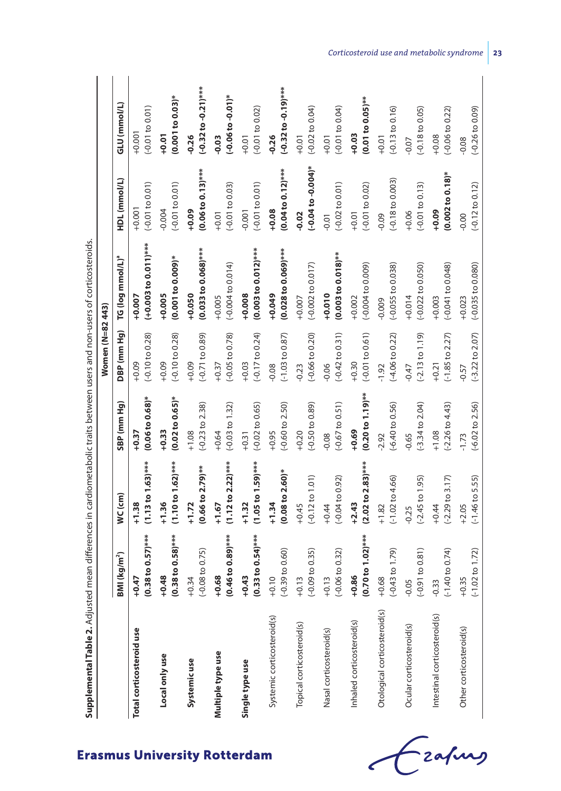| Supplemental Table 2. Adjusted mean differences in cardiometabolic traits between users and non-users of corticosteroids. |                              |                            |                            |                            |                              |                            |                                 |
|---------------------------------------------------------------------------------------------------------------------------|------------------------------|----------------------------|----------------------------|----------------------------|------------------------------|----------------------------|---------------------------------|
|                                                                                                                           |                              |                            |                            | Women (N=82 443)           |                              |                            |                                 |
|                                                                                                                           | 3MI (kg/m <sup>2</sup> )     | WC (cm)                    | SBP (mm Hg)                | DBP (mm Hg)                | TG (log mmol/L) <sup>ª</sup> | HDL (mmol/L)               | GLU (mmol/L)                    |
| Total corticosteroid use                                                                                                  | $0.38$ to $0.57$ )***        | $(1.13 to 1.63)$ ***       | $(0.06 to 0.68)$ *         | $(-0.10 to 0.28)$          | $(+0.003$ to 0.011)***       | $(-0.01 to 0.01)$          | $(-0.01 to 0.01)$               |
|                                                                                                                           | $+0.47$                      | $+1.38$                    | $+0.37$                    | $+0.09$                    | $+0.007$                     | $+0.001$                   | $+0.001$                        |
| Local only use                                                                                                            | $0.38$ to $0.58$ )***        | $(1.10 to 1.62)$ ***       | $(0.02 to 0.65)$ *         | $(-0.10 \text{ to } 0.28)$ | $(0.001 to 0.009)^*$         | $(-0.01 to 0.01)$          | $(0.001 to 0.03)$ *             |
|                                                                                                                           | $+0.48$                      | $+1.36$                    | $+0.33$                    | $+0.09$                    | $+0.005$                     | $-0.004$                   | $+0.01$                         |
| Systemicuse                                                                                                               | $-0.08$ to $0.75$ )          | $(0.66 to 2.79)$ **        | $(-0.23$ to $2.38)$        | $(-0.71$ to $0.89)$        | $(0.033 to 0.068)$ ***       | $(0.06 to 0.13)$ ***       | $(-0.32 to -0.21)$ ***          |
|                                                                                                                           | $+0.34$                      | $+1.72$                    | $+1.08$                    | $+0.09$                    | $+0.050$                     | $+0.09$                    | $-0.26$                         |
| Multiple type use                                                                                                         | $(0.46~{\rm to}~0.89)^{***}$ | $(1.12 to 2.22)$ ***       | $(-0.03 to 1.32)$          | $(-0.05 to 0.78)$          | $(-0.004$ to 0.014)          | $(-0.01 to 0.03)$          | $(-0.06 to -0.01)*$             |
|                                                                                                                           | $+0.68$                      | $+1.67$                    | $+0.64$                    | $+0.37$                    | $+0.005$                     | $+0.01$                    | $-0.03$                         |
| Single type use                                                                                                           | $(0.33 to 0.54)$ ***         | $(1.05 to 1.59)$ ***       | $(-0.02 to 0.65)$          | $(-0.17 to 0.24)$          | $(0.003 to 0.012)$ ***       | $(-0.01 to 0.01)$          | $(-0.01 to 0.02)$               |
|                                                                                                                           | $+0.43$                      | $+1.32$                    | $+0.31$                    | $+0.03$                    | $+0.008$                     | $-0.001$                   | $+0.01$                         |
| Systemic corticosteroid(s)                                                                                                | $-0.39$ to $0.60$ )          | $(0.08 to 2.60)$ *         | $(-0.60 to 2.50)$          | $(-1.03 to 0.87)$          | $(0.028 to 0.069)$ ***       | $(0.04 to 0.12)$ ***       | $(-0.32 \text{ to } -0.19)$ *** |
|                                                                                                                           | $+0.10$                      | $+1.34$                    | $+0.95$                    | $-0.08$                    | $+0.049$                     | $+0.08$                    | $-0.26$                         |
| Topical corticosteroid(s)                                                                                                 | $-0.09$ to $0.35$ )          | $(-0.12 \text{ to } 1.01)$ | $(-0.50 to 0.89)$          | $(-0.66 \text{ to } 0.20)$ | $(-0.002$ to $0.017)$        | $(-0.04 to -0.004)^*$      | $(-0.02 \text{ to } 0.04)$      |
|                                                                                                                           | $+0.13$                      | $+0.45$                    | $+0.20$                    | $-0.23$                    | $+0.007$                     | $-0.02$                    | $+0.01$                         |
| Nasal corticosteroid(s)                                                                                                   | $-0.06$ to $0.32$ )          | $(-0.04 \text{ to } 0.92)$ | $(-0.67 to 0.51)$          | $(-0.42 \text{ to } 0.31)$ | $(0.003 to 0.018)$ **        | $(-0.02 \text{ to } 0.01)$ | $(-0.01 to 0.04)$               |
|                                                                                                                           | $+0.13$                      | $+0.44$                    | $-0.08$                    | $-0.06$                    | $+0.010$                     | $-0.01$                    | $+0.01$                         |
| Inhaled corticosteroid(s)                                                                                                 | $0.70$ to $1.02$ )***        | $(2.02 to 2.83)***$        | $(0.20 to 1.19)$ **        | $(-0.01 to 0.61)$          | $(-0.004 \text{ to } 0.009)$ | $(-0.01 to 0.02)$          | $(0.01 to 0.05)$ **             |
|                                                                                                                           | $+0.86$                      | $+2.43$                    | $+0.69$                    | $+0.30$                    | $+0.002$                     | $+0.01$                    | $+0.03$                         |
| Otological corticosteroid(s)                                                                                              | $-0.43$ to 1.79)             | $(-1.02 \text{ to } 4.66)$ | $(-6.40 to 0.56)$          | $(-4.06 to 0.22)$          | $(-0.055$ to $0.038)$        | $(-0.18 to 0.003)$         | $(-0.13 \text{ to } 0.16)$      |
|                                                                                                                           | $+0.68$                      | $+1.82$                    | $-2.92$                    | $-1.92$                    | $-0.009$                     | $-0.09$                    | $+0.01$                         |
| Ocular corticosteroid(s)                                                                                                  | $-0.91$ to $0.81$ )          | $(-2.45 \text{ to } 1.95)$ | $(-3.34$ to $2.04)$        | $(-2.13 \text{ to } 1.19)$ | $(-0.022 \text{ to } 0.050)$ | $(-0.01 to 0.13)$          | $(-0.18 \text{ to } 0.05)$      |
|                                                                                                                           | 0.05                         | $-0.25$                    | $-0.65$                    | $-0.47$                    | $+0.014$                     | $+0.06$                    | $-0.07$                         |
| Intestinal corticosteroid(s)                                                                                              | $-1.40$ to 0.74)             | $(-2.29 \text{ to } 3.17)$ | $(-2.26 \text{ to } 4.43)$ | $(-1.85$ to $2.27)$        | $(-0.041$ to 0.048)          | $(0.002 to 0.18)$ *        | $(-0.06 to 0.22)$               |
|                                                                                                                           | 0.33                         | $+0.44$                    | $+1.08$                    | $+0.21$                    | $+0.003$                     | $+0.09$                    | $+0.08$                         |
| Other corticosteroid(s)                                                                                                   | $-1.02$ to $1.72$ )          | $(-1.46 \text{ to } 5.55)$ | $(-6.02 \text{ to } 2.56)$ | $(-3.22 \text{ to } 2.07)$ | $(-0.035$ to $0.080)$        | $(-0.12$ to $0.12)$        | $(-0.26 \text{ to } 0.09)$      |
|                                                                                                                           | $+0.35$                      | $+2.05$                    | $-1.73$                    | $-0.57$                    | $+0.023$                     | $-0.00$                    | $-0.08$                         |

en users and non-users of corticosteroids **Supplemental Table 2.** Adjusted mean differences in cardiometabolic traits between users and non-users of corticosteroids. j atabolic traits betw Ą  $\cdot$ diffe Í antal Table 7 Adjusted

í

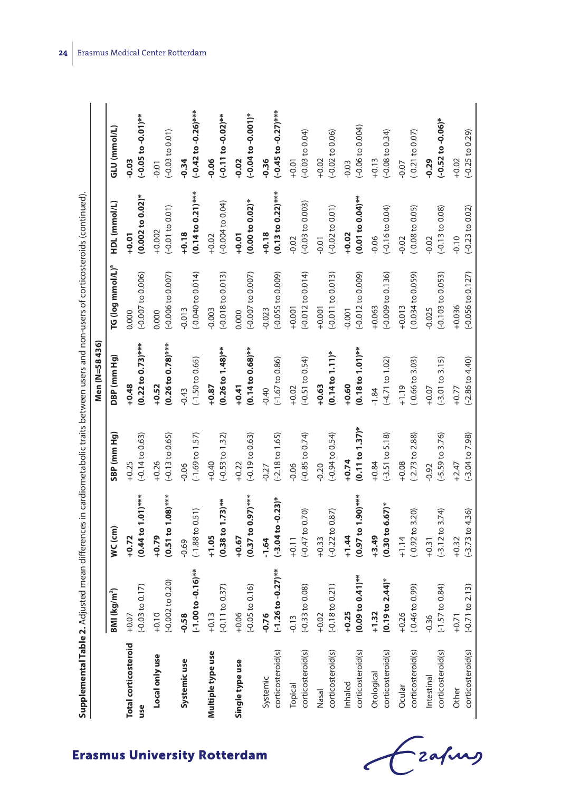| 7        |  |
|----------|--|
|          |  |
|          |  |
|          |  |
|          |  |
|          |  |
|          |  |
|          |  |
|          |  |
|          |  |
|          |  |
|          |  |
|          |  |
|          |  |
|          |  |
|          |  |
|          |  |
|          |  |
|          |  |
|          |  |
|          |  |
|          |  |
|          |  |
|          |  |
|          |  |
|          |  |
|          |  |
|          |  |
|          |  |
|          |  |
|          |  |
| ļ        |  |
| i        |  |
|          |  |
|          |  |
|          |  |
|          |  |
|          |  |
|          |  |
|          |  |
|          |  |
|          |  |
|          |  |
|          |  |
|          |  |
|          |  |
|          |  |
| į        |  |
|          |  |
| ļ        |  |
|          |  |
|          |  |
|          |  |
|          |  |
| ļ        |  |
| iol<br>ā |  |
| I        |  |

|                             |                                |                              |                                | Men (N=58436)                |                              |                            |                                 |
|-----------------------------|--------------------------------|------------------------------|--------------------------------|------------------------------|------------------------------|----------------------------|---------------------------------|
|                             | BM (kg/m <sup>2</sup> )        | WC (cm)                      | SBP (mm Hg)                    | DBP (mm Hg)                  | TG (log mmol/L) <sup>a</sup> | HDL (mmol/L)               | GLU (mmol/L)                    |
| <b>Total corticosteroid</b> | $(-0.03 to 0.17)$              | $(0.44 to 1.01)$ ***         | $(-0.14 \text{ to } 0.63)$     | $(0.22 to 0.73)$ ***         | $(-0.007$ to $0.006)$        | $(0.002 to 0.02)^*$        | $(-0.05 to -0.01)$ **           |
| use                         | 0.07                           | $+0.72$                      | $+0.25$                        | $+0.48$                      | 0.000                        | $+0.01$                    | $-0.03$                         |
| Local only use              | $(-0.002 to 0.20)$             | $(0.51 to 1.08)$ ***         | $(-0.13 \text{ to } 0.65)$     | $(0.26~{\rm to}~0.78)$ ***   | $(-0.006 to 0.007)$          | $(-0.01 to 0.01)$          | $(-0.03 to 0.01)$               |
|                             | $+0.10$                        | $+0.79$                      | $+0.26$                        | $+0.52$                      | 0.000                        | $+0.002$                   | $-0.01$                         |
| Systemicuse                 | $(-1.00 to -0.16)$ **          | $(-1.88 \text{ to } 0.51)$   | $(-1.69 \text{ to } 1.57)$     | $(-1.50 \text{ to } 0.65)$   | $(-0.040$ to $0.014)$        | $(0.14 to 0.21)$ ***       | $(-0.42 \text{ to } -0.26)$ *** |
|                             | 0.58                           | $-0.69$                      | $-0.06$                        | $-0.43$                      | $-0.013$                     | $+0.18$                    | $-0.34$                         |
| Multiple type use           | $(-0.11 to 0.37)$              | $(0.38 \text{ to } 1.73)$ ** | $(-0.53 \text{ to } 1.32)$     | $(0.26 \text{ to } 1.48)$ ** | $(-0.018 \text{ to } 0.013)$ | $(-0.004 to 0.04)$         | $(-0.11$ to $-0.02)$ **         |
|                             | $+0.13$                        | $+1.05$                      | $+0.40$                        | $+0.87$                      | $-0.003$                     | $+0.02$                    | $-0.06$                         |
| Single type use             | $(-0.05 \text{ to } 0.16)$     | $(0.37$ to $0.97$ )***       | $(-0.19 to 0.63)$              | $(0.14 to 0.68)$ **          | $(-0.007 \text{ to } 0.007)$ | $(0.00 to 0.02)*$          | $(-0.04 to -0.001)*$            |
|                             | $+0.06$                        | $+0.67$                      | $+0.22$                        | $+0.41$                      | 0.000                        | $+0.01$                    | $-0.02$                         |
| corticosteroid(s)           | $(-1.26 to -0.27)$ **          | $(-3.04 to -0.23)$ *         | $(-2.18 \text{ to } 1.65)$     | $(-1.67$ to 0.86)            | $(-0.055$ to $0.009)$        | $(0.13 to 0.22)$ ***       | $(-0.45 to -0.27)$ ***          |
| Systemic                    | 0.76                           | $-1.64$                      | $-0.27$                        | $-0.40$                      | $-0.023$                     | $+0.18$                    | $-0.36$                         |
| corticosteroid(s)           | $(-0.33$ to $0.08)$            | $(-0.47 \text{ to } 0.70)$   | $(-0.85$ to 0.74)              | $(-0.51$ to $0.54)$          | $(-0.012 \text{ to } 0.014)$ | $(-0.03 to 0.003)$         | $(-0.03 \text{ to } 0.04)$      |
| Topical                     | 0.13                           | $+0.11$                      | $-0.06$                        | $+0.02$                      | $+0.001$                     | $-0.02$                    | $+0.01$                         |
| corticosteroid(s)           | $(-0.18 \text{ to } 0.21)$     | $(-0.22 \text{ to } 0.87)$   | $(-0.94 \text{ to } 0.54)$     | $(0.14 \text{ to } 1.11)^*$  | $(-0.011 to 0.013)$          | $(-0.02 to 0.01)$          | $(-0.02 \text{ to } 0.06)$      |
| Nasal                       | $-0.02$                        | $+0.33$                      | $-0.20$                        | $+0.63$                      | $+0.001$                     | $-0.01$                    | $+0.02$                         |
| corticosteroid(s)           | $0.09$ to $0.41$ <sup>**</sup> | $(0.97 to 1.90)$ ***         | $(0.11$ to $1.37$ <sup>*</sup> | $(0.18 \text{ to } 1.01)$ ** | $(-0.012 \text{ to } 0.009)$ | $(0.01 to 0.04)$ **        | $(-0.06 \text{ to } 0.004)$     |
| Inhaled                     | $-0.25$                        | $+1.44$                      | $+0.74$                        | $+0.60$                      | $-0.001$                     | $+0.02$                    | $-0.03$                         |
| corticosteroid(s)           | $0.19$ to $2.44$ <sup>*</sup>  | $(0.30 \text{ to } 6.67)^*$  | $(-3.51$ to $5.18)$            | $(-4.71$ to $1.02)$          | $(-0.009 to 0.136)$          | $(-0.16 \text{ to } 0.04)$ | $(-0.08 \text{ to } 0.34)$      |
| Otological                  | $-1.32$                        | $+3.49$                      | $+0.84$                        | $-1.84$                      | $+0.063$                     | $-0.06$                    | $+0.13$                         |
| corticosteroid(s)           | $(-0.46 \text{ to } 0.99)$     | $(-0.92 \text{ to } 3.20)$   | $(-2.73 \text{ to } 2.88)$     | $(-0.66 \text{ to } 3.03)$   | $(-0.034$ to $0.059)$        | $(-0.08 to 0.05)$          | $(-0.21$ to $0.07)$             |
| Ocular                      | $-0.26$                        | $+1.14$                      | $+0.08$                        | $+1.19$                      | $+0.013$                     | $-0.02$                    | $-0.07$                         |
| corticosteroid(s)           | $(-1.57$ to 0.84)              | $(-3.12 \text{ to } 3.74)$   | $(-5.59 \text{ to } 3.76)$     | $(-3.01$ to $3.15)$          | $(-0.103$ to 0.053)          | $(-0.13 \text{ to } 0.08)$ | $(-0.52 \text{ to } -0.06)^*$   |
| Intestinal                  | 0.36                           | $+0.31$                      | $-0.92$                        | $+0.07$                      | $-0.025$                     | $-0.02$                    | $-0.29$                         |
| corticosteroid(s)           | $(-0.71$ to $2.13)$            | $(-3.73$ to $4.36)$          | $(-3.04 \text{ to } 7.98)$     | $(-2.86 \text{ to } 4.40)$   | $(-0.056 \text{ to } 0.127)$ | $(-0.23$ to $0.02)$        | $(-0.25$ to 0.29)               |
| Other                       | $+0.71$                        | $+0.32$                      | $+2.47$                        | $+0.77$                      | $+0.036$                     | $-0.10$                    | $+0.02$                         |

Czapus  $\epsilon$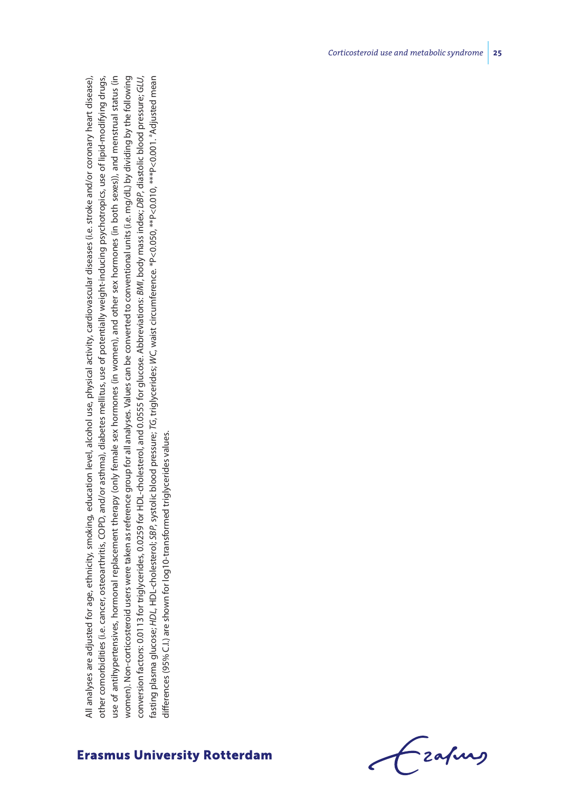All analyses are adjusted for age, ethnicity, smoking, education level, alcohol use, physical activity, cardiovascular diseases (i.e. stroke and/or coronary heart disease), other comorbidities (i.e. cancer, osteoarthritis, COPD, and/or asthma), diabetes mellitus, use of potentially weight-inducing psychotropics, use of lipid-modifying drugs, use of antihypertensives, hormonal replacement therapy (only female sex hormones (in women), and other sex hormones (in both sexes)), and menstrual status (in women). Non-corticosteroid users were taken as reference group for all analyses. Values can be converted to conventional units (i.e. mg/dL) by dividing by the following conversion factors: 0.0113 for triglycerides, 0.0259 for HDL-cholesterol, and 0.0555 for glucose. Abbreviations: *BMI*, body mass index; *DBP*, diastolic blood pressure; *GLU*, fasting plasma glucose; *HDL*, HDL-cholesterol; *SBP*, systolic blood pressure; *TG*, triglycerides; *WC*, waist circumference. \*P<0.050, \*\*P<0.010, \*\*\*P<0.001. aAdjusted mean All analyses are adjusted for age, ethnicity, smoking, education level, alcohol use, physical activity, cardiovascular diseases (i.e. stroke and/or coronary heart disease), other comorbidities (i.e. cancer, osteoarthritis, COPD, and/or asthma), diabetes mellitus, use of potentially weight-inducing psychotropics, use of lipid-modifying drugs, use of antihypertensives, hormonal replacement therapy (only female sex hormones (in women), and other sex hormones (in both sexes)), and menstrual status (in women). Non-corticosteroid users were taken as reference group for all analyses. Values can be converted to conventional units (i.e. mg/dL) by dividing by the following conversion factors: 0.0113 for triglycerides, 0.0259 for HDL-cholesterol, and 0.0555 for glucose. Abbreviations:  $8M$ l, body mass index;  $DB$ P, diastolic blood pressure; GLU, fasting plasma glucose; HDL, HDL-cholesterol; SBP, systolic blood pressure; TG, triglycerides; WC, waist circumference. \*P<0.050, \*\*P<0.010, \*\*\*P<0.001. \*Adjusted mean differences (95% C.I.) are shown for log10-transformed triglycerides values. differences (95% C.I.) are shown for log10-transformed triglycerides values.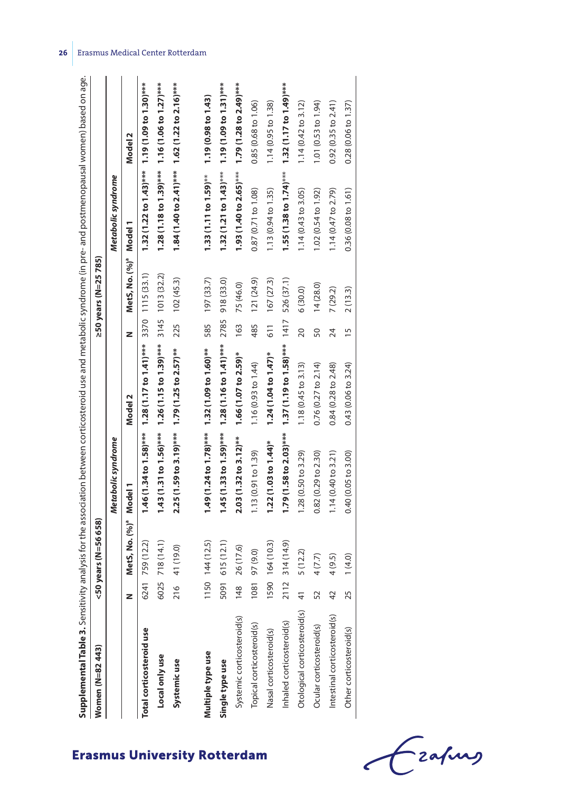| <b>Supplemental Table 3.</b> Sensitivity analysis for the association between corticosteroid use and metabolic syndrome (in pre- and postmenopausal women) based on age. |                |                                    |                                                                    |                                                                      |      |                                    |                                                                     |                               |
|--------------------------------------------------------------------------------------------------------------------------------------------------------------------------|----------------|------------------------------------|--------------------------------------------------------------------|----------------------------------------------------------------------|------|------------------------------------|---------------------------------------------------------------------|-------------------------------|
| Women (N=82443)                                                                                                                                                          |                | <50 years (N=56 658)               |                                                                    |                                                                      |      | ≥50 years (N=25 785)               |                                                                     |                               |
|                                                                                                                                                                          |                |                                    | Metabolic syndrome                                                 |                                                                      |      |                                    | Metabolic syndrome                                                  |                               |
|                                                                                                                                                                          |                | MetS, No. (%) <sup>ª</sup> Model 1 |                                                                    | Model 2                                                              | z    | MetS, No. (%) <sup>ª</sup> Model 1 |                                                                     | Model 2                       |
| Total corticosteroid use                                                                                                                                                 |                | 6241 759 (12.2)                    |                                                                    | $1.46(1.34 \text{ to } 1.58)$ *** 1.28 $(1.17 \text{ to } 1.41)$ *** |      | 3370 1115 (33.1)                   | $1.32(1.22 to 1.43)***$ 1.19 (1.09 to 1.30)***                      |                               |
| Local only use                                                                                                                                                           | 6025           | 718 (14.1)                         |                                                                    | $1.43(1.31 to 1.56)***$ $1.26(1.15 to 1.39)***$                      |      | 3145 1013 (32.2)                   | $1.28(1.18 \text{ to } 1.39)$ *** $1.16(1.06 \text{ to } 1.27)$ *** |                               |
| Systemic use                                                                                                                                                             | 216            | 41 (19.0)                          | 2.25 (1.59 to 3.19)*** 1.79 (1.25 to 2.57)**                       |                                                                      |      | 225 102 (45.3)                     | $1.84(1.40 to 2.41)***$ 1.62 (1.22 to 2.16)***                      |                               |
| Multiple type use                                                                                                                                                        |                | 150 144 (12.5)                     | $1.49(1.24 \text{ to } 1.78)$ *** $1.32(1.09 \text{ to } 1.60)$ ** |                                                                      | 585  | 197(33.7)                          | $1.33(1.11 to 1.59)$ **                                             | 1.19 (0.98 to 1.43)           |
| Single type use                                                                                                                                                          | 160            | 615 (12.1)                         | 1.45 (1.33 to 1.59) ***                                            | $1.28(1.16 to 1.41)$ ***                                             | 2785 | 918 (33.0)                         | $1.32(1.21 to 1.43)***$                                             | $1.19(1.09 to 1.31)$ ***      |
| Systemic corticosteroid(s)                                                                                                                                               | 48             | 26 (17.6)                          | $2.03(1.32$ to $3.12)$ **                                          | $1.66(1.07$ to 2.59)*                                                | 163  | 75 (46.0)                          | $1.93(1.40 to 2.65)***$                                             | $1.79(1.28 to 2.49)***$       |
| Topical corticosteroid(s)                                                                                                                                                | 1081           | 97 (9.0)                           | 1.13(0.91 to 1.39)                                                 | 1.16 (0.93 to 1.44)                                                  | 485  | 121(24.9)                          | 0.87 (0.71 to 1.08)                                                 | 0.85 (0.68 to 1.06)           |
| Nasal corticosteroid(s)                                                                                                                                                  |                | 590 164 (10.3)                     | $1.22(1.03 to 1.44)$ *                                             | $1.24(1.04 to 1.47)^*$                                               | 511  | 167(27.3)                          | 1.13 (0.94 to 1.35)                                                 | 1.14 (0.95 to 1.38)           |
| Inhaled corticosteroid(s)                                                                                                                                                | 2112           | 314 (14.9)                         | $1.79(1.58 to 2.03)$ ***                                           | 1.37 (1.19 to 1.58)***                                               | 1417 | 526 (37.1)                         | 1.55(1.38 to 1.74)                                                  | $1.32(1.17 to 1.49)$ ***      |
| Otological corticosteroid(s)                                                                                                                                             | $\overline{4}$ | 5(12.2)                            | 1.28(0.50 to 3.29)                                                 | 1.18(0.45 to 3.13)                                                   | 20   | 6(30.0)                            | 1.14 (0.43 to 3.05)                                                 | $1.14(0.42 \text{ to } 3.12)$ |
| Ocular corticosteroid(s)                                                                                                                                                 | 52             | 4(7.7)                             | 0.82(0.29 to 2.30)                                                 | 0.76(0.27 to 2.14)                                                   | 50   | 14(28.0)                           | 1.02 (0.54 to 1.92)                                                 | 1.01(0.53 to 1.94)            |
| Intestinal corticosteroid(s)                                                                                                                                             | 42             | 4 (9.5)                            | $1.14(0.40 \text{ to } 3.21)$                                      | 0.84 (0.28 to 2.48)                                                  | 24   | 7(29.2)                            | 1.14 (0.47 to 2.79)                                                 | 0.92(0.35 to 2.41)            |
| Other corticosteroid(s)                                                                                                                                                  | Lŋ             | 1(4.0)                             | 0.40(0.05 to 3.00)                                                 | 0.43(0.06 to 3.24)                                                   | 15   | 2(13.3)                            | 0.36(0.08 to 1.61)                                                  | 0.28(0.06 to 1.37)            |



Fzafung  $\epsilon$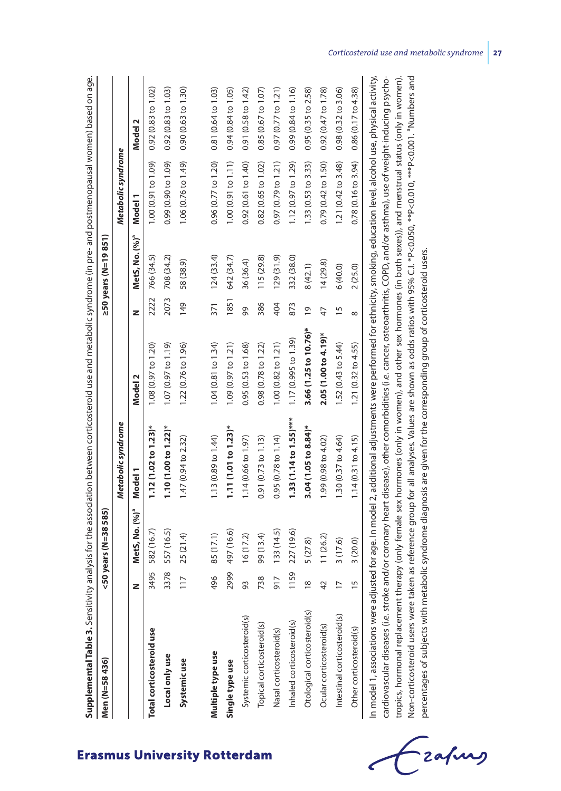|                                                 |                | <50 years (N=38 585)       |                         |                       |                | ≥50 years (N=19 851)       |                     |                               |
|-------------------------------------------------|----------------|----------------------------|-------------------------|-----------------------|----------------|----------------------------|---------------------|-------------------------------|
|                                                 |                |                            | Metabolic syndrome      |                       |                |                            | Metabolic syndrome  |                               |
| z                                               |                | MetS, No. (%) <sup>ª</sup> | Model 1                 | Model 2               | z              | MetS, No. (%) <sup>ª</sup> | Model <sup>1</sup>  | Model 2                       |
| Total corticosteroid use                        | 3495           | 582 (16.7)                 | $1.12(1.02 to 1.23)$ *  | 1.08(0.97 to 1.20)    |                | 2222 766 (34.5)            | 1.00 (0.91 to 1.09) | 0.92(0.83 to 1.02)            |
| Local only use                                  |                | 3378 557 (16.5)            | $1.10(1.00 to 1.22)$ *  | 1.07 (0.97 to 1.19)   |                | 2073 708 (34.2)            | 0.99 (0.90 to 1.09) | 0.92(0.83 to 1.03)            |
| Systemicuse                                     | 117            | 25 (21.4)                  | 1.47(0.94 to 2.32)      | 1.22 (0.76 to 1.96)   | 149            | 58 (38.9)                  | 1.06 (0.76 to 1.49) | 0.90(0.63 to 1.30)            |
|                                                 |                |                            |                         |                       |                |                            |                     |                               |
| Multiple type use                               | 496            | 85 (17.1)                  | 1.13 (0.89 to 1.44)     | 1.04 (0.81 to 1.34)   | 371            | 124(33.4)                  | 0.96 (0.77 to 1.20) | 0.81 (0.64 to 1.03)           |
| Single type use                                 |                | 2999 497 (16.6)            | $1.11(1.01 to 1.23)$ *  | 1.09 (0.97 to 1.21)   | 1851           | 642 (34.7)                 | 1.00(0.91 to 1.11)  | 0.94 (0.84 to 1.05)           |
| Systemic corticosteroid(s)                      | 93             | 16(17.2)                   | 1.14 (0.66 to 1.97)     | 0.95(0.53 to 1.68)    | 99             | 36 (36.4)                  | 0.92 (0.61 to 1.40) | 0.91 (0.58 to 1.42)           |
| Topical corticosteroid(s)                       | 738            | 99 (13.4)                  | 0.91(0.73 to 1.13)      | 0.98 (0.78 to 1.22)   | 386            | 115 (29.8)                 | 0.82(0.65 to 1.02)  | 0.85(0.67 to 1.07)            |
| Nasal corticosteroid(s)                         | 917            | 133(14.5)                  | 0.95(0.78 to 1.14)      | 1.00 (0.82 to 1.21)   | 404            | 129(31.9)                  | 0.97 (0.79 to 1.21) | 0.97(0.77 to 1.21)            |
| Inhaled corticosteroid(s)                       | 1159           | 227 (19.6)                 | $1.33(1.14 to 1.55)***$ | 1.17 (0.995 to 1.39)  | 873            | 332 (38.0)                 | 1.12 (0.97 to 1.29) | 0.99 (0.84 to 1.16)           |
| Otological corticosteroid(s)                    | $\frac{8}{18}$ | 5 (27.8)                   | 3.04 (1.05 to 8.84)*    | 3.66 (1.25 to 10.76)* | $\overline{0}$ | 8(42.1)                    | 1.33 (0.53 to 3.33) | 0.95(0.35 to 2.58)            |
| Ocular corticosteroid(s)                        | 42             | 11(26.2)                   | 1.99 (0.98 to 4.02)     | 2.05 (1.00 to 4.19)*  | 47             | 14(29.8)                   | 0.79 (0.42 to 1.50) | 0.92(0.47 to 1.78)            |
| $\overline{17}$<br>Intestinal corticosteroid(s) |                | 3(17.6)                    | 1.30 (0.37 to 4.64)     | 1.52 (0.43 to 5.44)   | 15             | 6(40.0)                    | 1.21 (0.42 to 3.48) | $0.98(0.32 \text{ to } 3.06)$ |
| Other corticosteroid(s)                         | $\frac{5}{5}$  | 3(20.0)                    | 1.14(0.31 to 4.15)      | 1.21 (0.32 to 4.55)   | $\infty$       | 2(25.0)                    | 0.78(0.16 to 3.94)  | 0.86(0.17 to 4.38)            |

tropics, hormonal replacement therapy (only female sex hormones (only in women), and other sex hormones (in both sexes)), and menstrual status (only in women). tropics, hormonal replacement therapy (only female sex hormones (only in women), and other sex hormones (in both sexes)), and menstrual status (only in women). Non-corticosteroid users were taken as reference group for all analyses. Values are shown as odds ratios with 95% C.I. \*P<0.050, \*\*P<0.010, \*\*\*P<0.001. "Numbers and Non-corticosteroid users were taken as reference group for all analyses. Values are shown as odds ratios with 95% C.I. \*P<0.050, \*\*P<0.010, \*\*\*P<0.001. aNumbers and percentages of subjects with metabolic syndrome diagnosis are given for the corresponding group of corticosteroid users. percentages of subjects with metabolic syndrome diagnosis are given for the corresponding group of corticosteroid users.

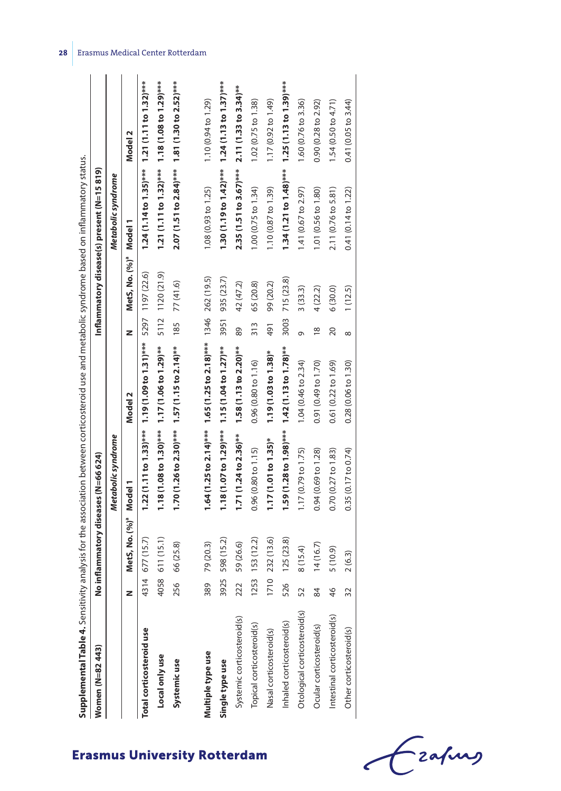| Women (N=82 443)             |              | No inflammatory diseases (N=66 624) |                                                                    |                                                                 |                 |                                    | Inflammatory disease(s) present (N=15 819)                          |                               |
|------------------------------|--------------|-------------------------------------|--------------------------------------------------------------------|-----------------------------------------------------------------|-----------------|------------------------------------|---------------------------------------------------------------------|-------------------------------|
|                              |              |                                     | Metabolic syndrome                                                 |                                                                 |                 |                                    | Metabolic syndrome                                                  |                               |
|                              |              | MetS, No. (%) <sup>ª</sup>          | Model 1                                                            | Model 2                                                         | z               | MetS, No. (%) <sup>ª</sup> Model 1 |                                                                     | Model 2                       |
| Total corticosteroid use     |              | 4314 677 (15.7)                     |                                                                    | $1.22(1.11$ to $1.33)$ *** $1.19(1.09$ to $1.31)$ ***           |                 | 5297 1197 (22.6)                   | $1.24(1.14 \text{ to } 1.35)$ *** $1.21(1.11 \text{ to } 1.32)$ *** |                               |
| Local only use               |              | 4058 611 (15.1)                     | $1.18(1.08 to 1.30)$ *** $1.17(1.06 to 1.29)$ **                   |                                                                 |                 | 5112 1120 (21.9)                   | $1.21(1.11$ to $1.32$ )*** $1.18(1.08$ to $1.29)$ ***               |                               |
| Systemicuse                  |              | 256 66 (25.8)                       | $1.70(1.26 \text{ to } 2.30)$ *** $1.57(1.15 \text{ to } 2.14)$ ** |                                                                 | 185             | 77 (41.6)                          | $2.07(1.51 to 2.84)***$ 1.81 (1.30 to $2.52)***$                    |                               |
|                              |              |                                     |                                                                    |                                                                 |                 |                                    |                                                                     |                               |
| Multiple type use            | 89           | 79 (20.3)                           |                                                                    | $1.64$ (1.25 to 2.14)*** 1.65 (1.25 to 2.18)*** 1346 262 (19.5) |                 |                                    | 1.08 (0.93 to 1.25)                                                 | 1.10 (0.94 to 1.29)           |
| Single type use              | 925          | 598 (15.2)                          | $1.18(1.07 to 1.29)$ ***                                           | $1.15(1.04 to 1.27)$ **                                         | 3951            | 935 (23.7)                         | $1.30(1.19 to 1.42)$ ***                                            | $1.24(1.13 to 1.37)$ ***      |
| Systemic corticosteroid(s)   | 22           | 59 (26.6)                           | $1.71(1.24$ to $2.36$ <sup>**</sup>                                | $1.58(1.13$ to $2.20$ <sup>**</sup>                             | 89              | 42 (47.2)                          | $2.35(1.51 to 3.67)***$                                             | $2.11(1.33 to 3.34)$ **       |
| Topical corticosteroid(s)    | 253          | 153 (12.2)                          | 0.96(0.80 to 1.15)                                                 | 0.96(0.80 to 1.16)                                              | $\frac{313}{2}$ | 65 (20.8)                          | 1.00(0.75 to 1.34)                                                  | 1.02 (0.75 to 1.38)           |
| Nasal corticosteroid(s)      |              | 710 232 (13.6)                      | $1.17(1.01 to 1.35)*$                                              | $1.19(1.03 to 1.38)$ *                                          | 491             | 99 (20.2)                          | 1.10 (0.87 to 1.39)                                                 | 1.17 (0.92 to 1.49)           |
| Inhaled corticosteroid(s)    | 26<br>5      | 125(23.8)                           | 1.59 (1.28 to 1.98)***                                             | $1.42(1.13 to 1.78)$ **                                         | 3003            | 715 (23.8)                         | $1.34(1.21 to 1.48)$ *** $1.25(1.13 to 1.39)$ ***                   |                               |
| Otological corticosteroid(s) | $\sim$<br>5  | 8(15.4)                             | 1.17 (0.79 to 1.75)                                                | 1.04 (0.46 to 2.34)                                             | Ō               | 3(33.3)                            | 1.41 (0.67 to 2.97)                                                 | 1.60 (0.76 to 3.36)           |
| Ocular corticosteroid(s)     | 84           | 14(16.7)                            | 0.94 (0.69 to 1.28)                                                | 0.91 (0.49 to 1.70)                                             | $\frac{8}{18}$  | 4(22.2)                            | 1.01 (0.56 to 1.80)                                                 | $0.90(0.28 \text{ to } 2.92)$ |
| Intestinal corticosteroid(s) | $\circ$<br>4 | 5(10.9)                             | 0.70(0.27 to 1.83)                                                 | 0.61(0.22 to 1.69)                                              | 20              | 6(30.0)                            | 2.11 (0.76 to 5.81)                                                 | 1.54 (0.50 to 4.71)           |
| Other corticosteroid(s)      | $\sim$       | 2(6.3)                              | 0.35(0.17 to 0.74)                                                 | 0.28(0.06 to 1.30)                                              | $\infty$        | 1(12.5)                            | 0.41 (0.14 to 1.22)                                                 | 0.41(0.05 to 3.44)            |
|                              |              |                                     |                                                                    |                                                                 |                 |                                    |                                                                     |                               |

Czafing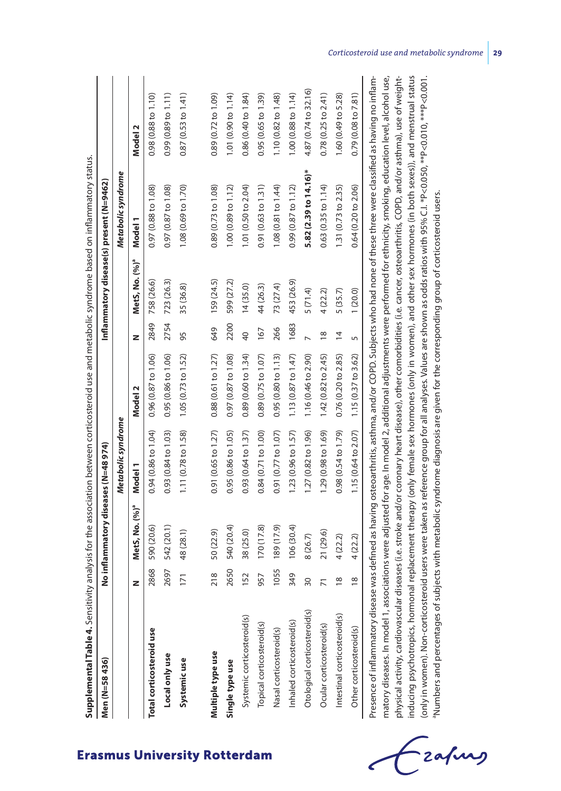| Men (N=58 436)                                                                                                                                                                                                                                                                                                                                    |                 | No inflammatory diseases (N=48 974) |                     |                     |                 |                            | Inflammatory disease(s) present (N=9462) |                               |
|---------------------------------------------------------------------------------------------------------------------------------------------------------------------------------------------------------------------------------------------------------------------------------------------------------------------------------------------------|-----------------|-------------------------------------|---------------------|---------------------|-----------------|----------------------------|------------------------------------------|-------------------------------|
|                                                                                                                                                                                                                                                                                                                                                   |                 |                                     | Metabolic syndrome  |                     |                 |                            | Metabolic syndrome                       |                               |
|                                                                                                                                                                                                                                                                                                                                                   | z               | MetS, No. (%) <sup>ª</sup>          | Model 1             | Model 2             | z               | MetS, No. (%) <sup>ª</sup> | Model 1                                  | Model <sub>2</sub>            |
| Total corticosteroid use                                                                                                                                                                                                                                                                                                                          | 2868            | 590 (20.6)                          | 0.94 (0.86 to 1.04) | 0.96(0.87 to 1.06)  | 2849            | 758 (26.6)                 | 0.97 (0.88 to 1.08)                      | $0.98(0.88 \text{ to } 1.10)$ |
| Local only use                                                                                                                                                                                                                                                                                                                                    | 2697            | 542 (20.1)                          | 0.93 (0.84 to 1.03) | 0.95(0.86 to 1.06)  | 2754            | 723 (26.3)                 | 0.97(0.87 to 1.08)                       | 0.99(0.89 to 1.11)            |
| Systemic use                                                                                                                                                                                                                                                                                                                                      | 171             | 48 (28.1)                           | 1.11 (0.78 to 1.58) | 1.05(0.73 to 1.52)  | 95              | 35 (36.8)                  | 1.08 (0.69 to 1.70)                      | 0.87(0.53 to 1.41)            |
|                                                                                                                                                                                                                                                                                                                                                   |                 |                                     |                     |                     |                 |                            |                                          |                               |
| Multiple type use                                                                                                                                                                                                                                                                                                                                 | 218             | 50 (22.9)                           | 0.91 (0.65 to 1.27) | 0.88 (0.61 to 1.27) | 649             | 159 (24.5)                 | 0.89 (0.73 to 1.08)                      | 0.89 (0.72 to 1.09)           |
| Single type use                                                                                                                                                                                                                                                                                                                                   | 2650            | 540 (20.4)                          | 0.95 (0.86 to 1.05) | 0.97 (0.87 to 1.08) | 2200            | 599 (27.2)                 | 1.00(0.89 to 1.12)                       | 1.01 (0.90 to 1.14)           |
| Systemic corticosteroid(s)                                                                                                                                                                                                                                                                                                                        | 152             | 38 (25.0)                           | 0.93(0.64 to 1.37)  | 0.89(0.60 to 1.34)  | $\overline{40}$ | 14(35.0)                   | 1.01 (0.50 to 2.04)                      | 0.86 (0.40 to 1.84)           |
| Topical corticosteroid(s)                                                                                                                                                                                                                                                                                                                         | 957             | 170(17.8)                           | 0.84 (0.71 to 1.00) | 0.89(0.75 to 1.07)  | 167             | 44 (26.3)                  | 0.91(0.63 to 1.31)                       | 0.95(0.65 to 1.39)            |
| Nasal corticosteroid(s)                                                                                                                                                                                                                                                                                                                           | 1055            | 189 (17.9)                          | 0.91(0.77 to 1.07)  | 0.95(0.80 to 1.13)  | 266             | 73 (27.4)                  | 1.08 (0.81 to 1.44)                      | 1.10 (0.82 to 1.48)           |
| Inhaled corticosteroid(s)                                                                                                                                                                                                                                                                                                                         | 349             | 106(30.4)                           | 1.23 (0.96 to 1.57) | 1.13 (0.87 to 1.47) | 1683            | 453 (26.9)                 | 0.99(0.87 to 1.12)                       | 1.00 (0.88 to 1.14)           |
| Otological corticosteroid(s)                                                                                                                                                                                                                                                                                                                      | $\overline{30}$ | 8 (26.7)                            | 1.27 (0.82 to 1.96) | 1.16 (0.46 to 2.90) |                 | 5(71.4)                    | 5.82 (2.39 to 14.16)*                    | 4.87 (0.74 to 32.16)          |
| Ocular corticosteroid(s)                                                                                                                                                                                                                                                                                                                          | $\overline{1}$  | 21 (29.6)                           | 1.29 (0.98 to 1.69) | 1.42 (0.82 to 2.45) | $\frac{8}{2}$   | 4(22.2)                    | $0.63$ (0.35 to 1.14)                    | 0.78(0.25 to 2.41)            |
| Intestinal corticosteroid(s)                                                                                                                                                                                                                                                                                                                      | $\frac{8}{10}$  | 4(22.2)                             | 0.98 (0.54 to 1.79) | 0.76(0.20 to 2.85)  | $\overline{4}$  | 5 (35.7)                   | 1.31 (0.73 to 2.35)                      | 1.60 (0.49 to 5.28)           |
| Other corticosteroid(s)                                                                                                                                                                                                                                                                                                                           | $\frac{8}{2}$   | 4(22.2)                             | 1.15 (0.64 to 2.07) | 1.15(0.37 to 3.62)  | 5               | 1(20.0)                    | 0.64 (0.20 to 2.06)                      | 0.79(0.08 to 7.81)            |
| Presence of inflammatory disease was defined as having osteoarthritis, asthma, and/or COPD. Subjects who had none of these three were classified as having no inflam-<br>matory diseases. In model 1, associations were adjusted for age. In model 2, additional adjustments were performed for ethnicity, smoking, education level, alcohol use, |                 |                                     |                     |                     |                 |                            |                                          |                               |
| physical activity, cardiovascular diseases (i.e. stroke and/or coronary heart disease), other comorbidities (i.e. cancer, osteoarthritis, COPD, and/or asthma), use of weight-                                                                                                                                                                    |                 |                                     |                     |                     |                 |                            |                                          |                               |

**29** Corticosteroid use and metabolic syndrome **29** 

inducing psychotropics, hormonal replacement therapy (only female sex hormones (only in women), and other sex hormones (in both sexes)), and menstrual status (only in women). Non-corticosteroid users were taken as reference group for all analyses. Values are shown as odds ratios with 95% C.I. \*P<0.050, \*\*P<0.010, \*\*\*P<0.001.

inducing psychotropics, hormonal replacement therapy (only female sex hormones (only in women), and other sex hormones (in both sexes)), and menstrual status (only in women). Non-corticosteroid users were taken as reference group for all analyses. Values are shown as odds ratios with 95% C.I. \*P<0.050, \*\*P<0.010, \*\*\*P<0.001.

aNumbers and percentages of subjects with metabolic syndrome diagnosis are given for the corresponding group of corticosteroid users.

Numbers and percentages of subjects with metabolic syndrome diagnosis are given for the corresponding group of corticosteroid users.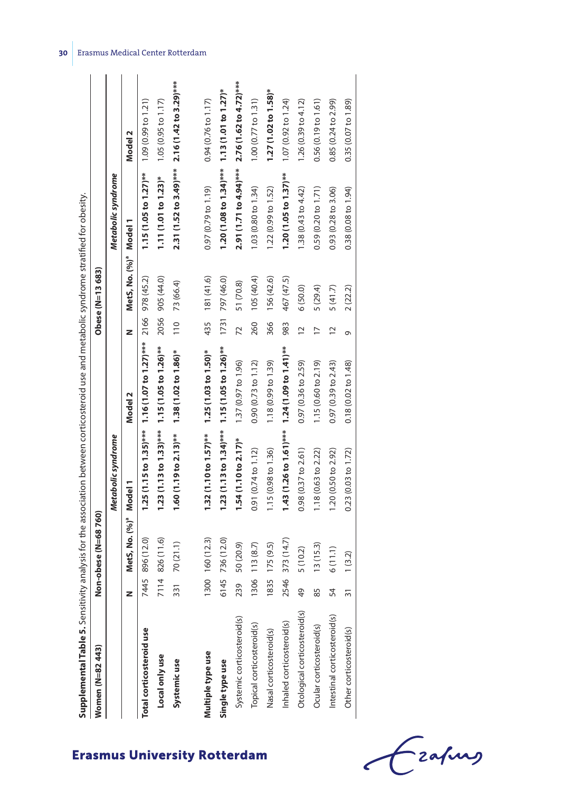| Supplemental Table 5. Sensitivity analysis for the association between corticosteroid use and metabolic syndrome stratified for obesity. |                 |                                    |                                                       |                         |                 |                                    |                                                       |                               |
|------------------------------------------------------------------------------------------------------------------------------------------|-----------------|------------------------------------|-------------------------------------------------------|-------------------------|-----------------|------------------------------------|-------------------------------------------------------|-------------------------------|
| Women (N=82443)                                                                                                                          |                 | Non-obese (N=68760)                |                                                       |                         |                 | Obese (N=13 683)                   |                                                       |                               |
|                                                                                                                                          |                 |                                    | Metabolic syndrome                                    |                         |                 |                                    | Metabolic syndrome                                    |                               |
|                                                                                                                                          |                 | MetS, No. (%) <sup>ª</sup> Model 1 |                                                       | Model 2                 | z               | MetS, No. (%) <sup>ª</sup> Model 1 |                                                       | Model 2                       |
| Total corticosteroid use                                                                                                                 |                 | 7445 896 (12.0)                    | $1.25(1.15$ to $1.35)$ *** $1.16(1.07$ to $1.27)$ *** |                         |                 | 2166 978 (45.2)                    | $1.15(1.05$ to $1.27$ )**                             | 1.09(0.99 to 1.21)            |
| Local only use                                                                                                                           |                 | 7114 826 (11.6)                    | $1.23(1.13 to 1.33)***$ 1.15 $(1.05 to 1.26)**$       |                         |                 | 2056 905 (44.0)                    | $1.11(1.01 to 1.23)*$                                 | 1.05(0.95 to 1.17)            |
| Systemic use                                                                                                                             | $\overline{31}$ | 70 (21.1)                          | $1.60(1.19$ to $2.13)$ **                             | 1.38 (1.02 to 1.86)*    | 110             | 73 (66.4)                          | $2.31(1.52$ to $3.49)$ *** $2.16(1.42$ to $3.29)$ *** |                               |
| Multiple type use                                                                                                                        |                 | 300 160 (12.3)                     | $1.32(1.10 to 1.57)$ **                               | $1.25(1.03 to 1.50)*$   | 435             | 181 (41.6)                         | 0.97(0.79 to 1.19)                                    | $0.94(0.76 \text{ to } 1.17)$ |
|                                                                                                                                          |                 |                                    |                                                       |                         |                 |                                    |                                                       |                               |
| Single type use                                                                                                                          | 6145            | 736 (12.0)                         | $1.23(1.13 to 1.34)***$                               | $1.15(1.05 to 1.26)$ ** | 1731            | 797 (46.0)                         | $1.20(1.08 to 1.34)$ ***                              | $1.13(1.01 to 1.27)^*$        |
| Systemic corticosteroid(s)                                                                                                               | 239             | 50 (20.9)                          | $1.54(1.10 to 2.17)^*$                                | 1.37 (0.97 to 1.96)     | 72              | 51 (70.8)                          | 2.91 (1.71 to 4.94)***                                | 2.76 (1.62 to 4.72)***        |
| Topical corticosteroid(s)                                                                                                                | 1306            | 113(8.7)                           | 0.91(0.74 to 1.12)                                    | 0.90(0.73 to 1.12)      | 260             | 105 (40.4)                         | 1.03(0.80 to 1.34)                                    | 1.00(0.77 to 1.31)            |
| Nasal corticosteroid(s)                                                                                                                  | 835             | 175(9.5)                           | 1.15 (0.98 to 1.36)                                   | 1.18 (0.99 to 1.39)     | 366             | 156 (42.6)                         | 1.22 (0.99 to 1.52)                                   | $1.27(1.02 to 1.58)$ *        |
| Inhaled corticosteroid(s)                                                                                                                | 2546            | 373 (14.7)                         | $1.43(1.26 to 1.61)$ ***                              | $1.24(1.09 to 1.41)$ ** | 983             | 467 (47.5)                         | $1.20(1.05 to 1.37)$ **                               | 1.07(0.92 to 1.24)            |
| Otological corticosteroid(s)                                                                                                             | $\overline{6}$  | 5(10.2)                            | 0.98(0.37 to 2.61)                                    | 0.97 (0.36 to 2.59)     | $\overline{12}$ | 6(50.0)                            | 1.38(0.43 to 4.42)                                    | 1.26 (0.39 to 4.12)           |
| Ocular corticosteroid(s)                                                                                                                 | 85              | 13(15.3)                           | 1.18(0.63 to 2.22)                                    | 1.15 (0.60 to 2.19)     | $\overline{17}$ | 5(29.4)                            | 0.59(0.20 to 1.71)                                    | 0.56(0.19 to 1.61)            |
| Intestinal corticosteroid(s)                                                                                                             | 54              | 6(11.1)                            | 1.20 (0.50 to 2.92)                                   | 0.97(0.39 to 2.43)      | $\overline{12}$ | 5(41.7)                            | 0.93(0.28 to 3.06)                                    | 0.85(0.24 to 2.99)            |
| Other corticosteroid(s)                                                                                                                  | 31              | 1(3.2)                             | 0.23(0.03 to 1.72)                                    | 0.18(0.02 to 1.48)      | o               | 2(22.2)                            | 0.38(0.08 to 1.94)                                    | 0.35(0.07 to 1.89)            |

roid use and metabolic syndrome stratified for obesity المطلب ستشمش والمستلم

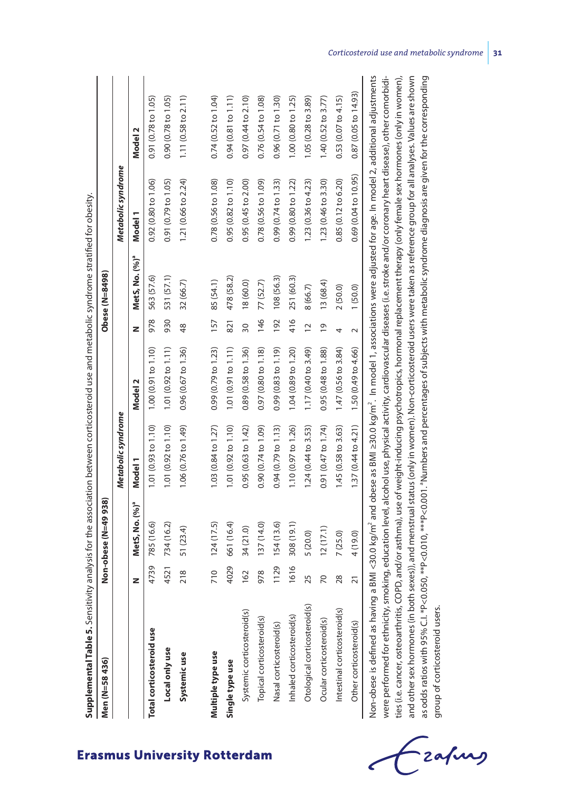| Supplemental Table 5. Sensitivity analysis for the association between corticosteroid use and metabolic syndrome stratified for obesity.<br>Men (N=58436)                                                                                                                                                                                                                   |      | Non-obese (N=49 938)       |                          |                           |                 | Obese (N=8498)             |                      |                               |
|-----------------------------------------------------------------------------------------------------------------------------------------------------------------------------------------------------------------------------------------------------------------------------------------------------------------------------------------------------------------------------|------|----------------------------|--------------------------|---------------------------|-----------------|----------------------------|----------------------|-------------------------------|
|                                                                                                                                                                                                                                                                                                                                                                             |      |                            | Metabolic syndrome       |                           |                 |                            | Metabolic syndrome   |                               |
|                                                                                                                                                                                                                                                                                                                                                                             | z    | MetS, No. (%) <sup>ª</sup> | Model 1                  | Model 2                   | z               | MetS, No. (%) <sup>a</sup> | Model 1              | Model 2                       |
| Total corticosteroid use                                                                                                                                                                                                                                                                                                                                                    | 4739 | 785 (16.6)                 | 1.01(0.93 to 1.10)       | 1.00 (0.91 to 1.10)       | 978             | 563 (57.6)                 | 0.92 (0.80 to 1.06)  | 0.91(0.78 to 1.05)            |
| Local only use                                                                                                                                                                                                                                                                                                                                                              | 4521 | 734 (16.2)                 | 1.01 (0.92 to 1.10)      | $1.01$ (0.92 to $1.11$ )  | 930             | 531 (57.1)                 | 0.91(0.79 to 1.05)   | 0.90 (0.78 to 1.05)           |
| Systemicuse                                                                                                                                                                                                                                                                                                                                                                 | 218  | 51 (23.4)                  | 1.06 (0.76 to 1.49)      | 0.96 (0.67 to 1.36)       | 48              | 32 (66.7)                  | 1.21 (0.66 to 2.24)  | 1.11 (0.58 to 2.11)           |
|                                                                                                                                                                                                                                                                                                                                                                             |      |                            |                          |                           |                 |                            |                      |                               |
| Multiple type use                                                                                                                                                                                                                                                                                                                                                           | 710  | 124(17.5)                  | 1.03 (0.84 to 1.27)      | 0.99 (0.79 to 1.23)       | 157             | 85 (54.1)                  | 0.78(0.56 to 1.08)   | 0.74(0.52 to 1.04)            |
| Single type use                                                                                                                                                                                                                                                                                                                                                             | 4029 | 661 (16.4)                 | $1.01$ (0.92 to $1.10$ ) | 1.01 (0.91 to 1.11)       | 821             | 478 (58.2)                 | 0.95(0.82 to 1.10)   | $0.94(0.81 \text{ to } 1.11)$ |
| Systemic corticosteroid(s)                                                                                                                                                                                                                                                                                                                                                  | 162  | 34 (21.0)                  | 0.95(0.63 to 1.42)       | 0.89 (0.58 to 1.36)       | $\overline{30}$ | 18 (60.0)                  | 0.95 (0.45 to 2.00)  | 0.97 (0.44 to 2.10)           |
| Topical corticosteroid(s)                                                                                                                                                                                                                                                                                                                                                   | 978  | 137 (14.0)                 | 0.90(0.74 to 1.09)       | 0.97 (0.80 to 1.18)       | 146             | 77 (52.7)                  | 0.78(0.56 to 1.09)   | 0.76(0.54 to 1.08)            |
| Nasal corticosteroid(s)                                                                                                                                                                                                                                                                                                                                                     | 1129 | 154 (13.6)                 | 0.94(0.79 to 1.13)       | $0.99$ $(0.83$ to $1.19)$ | 192             | 108 (56.3)                 | 0.99(0.74 to 1.33)   | 0.96(0.71 to 1.30)            |
| Inhaled corticosteroid(s)                                                                                                                                                                                                                                                                                                                                                   | 1616 | 308 (19.1)                 | 1.10 (0.97 to 1.26)      | 1.04 (0.89 to 1.20)       | 416             | 251 (60.3)                 | 0.99 (0.80 to 1.22)  | 1.00 (0.80 to 1.25)           |
| Otological corticosteroid(s)                                                                                                                                                                                                                                                                                                                                                | 25   | 5 (20.0)                   | 1.24 (0.44 to 3.53)      | 1.17 (0.40 to 3.49)       | $\overline{12}$ | 8 (66.7)                   | 1.23 (0.36 to 4.23)  | 1.05 (0.28 to 3.89)           |
| Ocular corticosteroid(s)                                                                                                                                                                                                                                                                                                                                                    | 20   | 12(17.1)                   | 0.91 (0.47 to 1.74)      | 0.95 (0.48 to 1.88)       | $\overline{0}$  | 13(68.4)                   | 1.23 (0.46 to 3.30)  | 1.40 $(0.52$ to 3.77)         |
| Intestinal corticosteroid(s)                                                                                                                                                                                                                                                                                                                                                | 28   | 7(25.0)                    | 1.45(0.58 to 3.63)       | 1.47 (0.56 to 3.84)       | 4               | 2(50.0)                    | 0.85(0.12 to 6.20)   | 0.53(0.07 to 4.15)            |
| Other corticosteroid(s)                                                                                                                                                                                                                                                                                                                                                     | 21   | 4 (19.0)                   | 1.37(0.44 to 4.21)       | 1.50 (0.49 to 4.66)       | $\sim$          | 1(50.0)                    | 0.69 (0.04 to 10.95) | 0.87 (0.05 to 14.93)          |
| Non-obese is defined as having a BMI <30.0 kg/m <sup>2</sup> and obese as BMI ≥30.0 kg/m <sup>2</sup> . In model 1, associations were adjusted for age. In model 2, additional adjustments<br>were performed for ethnicity, smoking, education level, alcohol use, physical activity, cardiovascular diseases (i.e. stroke and/or coronary heart disease), other comorbidi- |      |                            |                          |                           |                 |                            |                      |                               |

**Supplemental Table 5.** Sensitivity analysis for the association between corticosteroid use and metabolic syndrome stratified for obesity. Š  $\ddot{\cdot}$  $\overline{a}$  $\overline{1}$  $\overline{\phantom{a}}$ Í

ties (i.e. cancer, osteoarthritis, COPD, and/or asthma), use of weight-inducing psychotropics, hormonal replacement therapy (only female sex hormones (only in women), ties (i.e. cancer, osteoarthritis, COPD, and/or asthma), use of weight-inducing psychotropics, hormonal replacement therapy (only female sex hormones (only in women), and other sex hormones (in both sexes)), and menstrual status (only in women). Non-corticosteroid users were taken as reference group for all analyses. Values are shown and other sex hormones (in both sexes)), and menstrual status (only in women). Non-corticosteroid users were taken as reference group for all analyses. Values are shown as odds ratios with 95% C1. \*P<0.050, \*\*P<0.010, \*\*P<0.001. "Numbers and percentages of subjects with metabolic syndrome diagnosis are given for the corresponding as odds ratios with 95% C.I. \*P<0.050, \*\*P<0.010, \*\*\*P<0.001. aNumbers and percentages of subjects with metabolic syndrome diagnosis are given for the corresponding group of corticosteroid users. group of corticosteroid users.

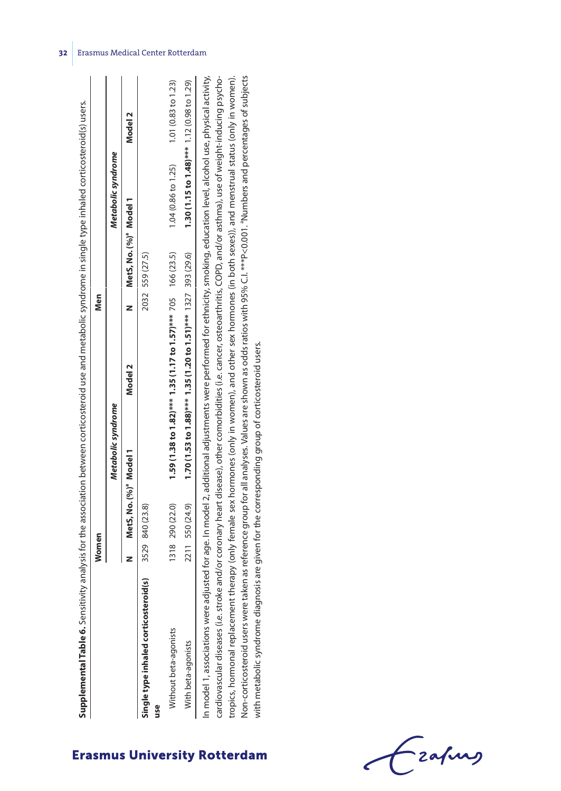| <b>Supplemental Table 6.</b> Sensitivity analysis for the association between corticosteroid use and metabolic syndrome in single type inhaled corticosteroid(s) users.   |                                    |                    |                                                                   |                        |                                            |                    |
|---------------------------------------------------------------------------------------------------------------------------------------------------------------------------|------------------------------------|--------------------|-------------------------------------------------------------------|------------------------|--------------------------------------------|--------------------|
|                                                                                                                                                                           | Women                              |                    | Nen                                                               |                        |                                            |                    |
|                                                                                                                                                                           |                                    | Metabolic syndrome |                                                                   |                        | Metabolic syndrome                         |                    |
|                                                                                                                                                                           | MetS, No. (%) <sup>ª</sup> Model 1 |                    | Model 2                                                           | MetS, No. (%)ª Model 1 |                                            | Model 2            |
| Single type inhaled corticosteroid(s) 3529 840 (23.8)<br>use                                                                                                              |                                    |                    |                                                                   | 2032 559 (27.5)        |                                            |                    |
| Nithout beta-agonists                                                                                                                                                     | 1318 290 (22.0)                    |                    | 1.59 (1.38 to 1.82)*** 1.35 (1.17 to 1.57)*** 705   166 (23.5)    |                        | 1.04 (0.86 to 1.25)                        | 1.01(0.83 to 1.23) |
| With beta-agonists                                                                                                                                                        | 2211 550 (24.9)                    |                    | $1.70(1.53 to 1.88)***$ $1.35(1.20 to 1.51)***$ $1327$ 393 (29.6) |                        | 1.30 (1.15 to 1.48)*** 1.12 (0.98 to 1.29) |                    |
| In model 1, associations were adjusted for age. In model 2, additional adjustments were performed for ethnicity, smoking, education level, alcohol use, physical activity |                                    |                    |                                                                   |                        |                                            |                    |

cardiovascular diseases (i.e. stroke and/or coronary heart disease), other comorbidities (i.e. cancer, osteoarthritis, COPD, and/or asthma), use of weight-inducing psycho-In model 1, associations were adjusted for age. In model 2, additional adjustments were performed for ethnicity, smoking, education level, alcohol use, physical activity, tropics, hormonal replacement therapy (only female sex hormones (only in women), and other sex hormones (in both sexes)), and menstrual status (only in women). Non-corticosteroid users were taken as reference group for all analyses. Values are shown as odds ratios with 95% C.I. \*\*\*P<0.001. "Numbers and percentages of subjects Non-corticosteroid users were taken as reference group for all analyses. Values are shown as odds ratios with 95% C.I. \*\*\*P<0.001. "Numbers and percentages of subjects tropics, hormonal replacement therapy (only female sex hormones (only in women), and other sex hormones (in both sexes)), and menstrual status (only in women). cardiovascular diseases (i.e. stroke and/or coronary heart disease), other comorbidities (i.e. cancer, osteoarthritis, COPD, and/or asthma), use of weight-inducing psychowith metabolic syndrome diagnosis are given for the corresponding group of corticosteroid users. with metabolic syndrome diagnosis are given for the corresponding group of corticosteroid users.  $\vert$   $\equiv$ 

Frafing